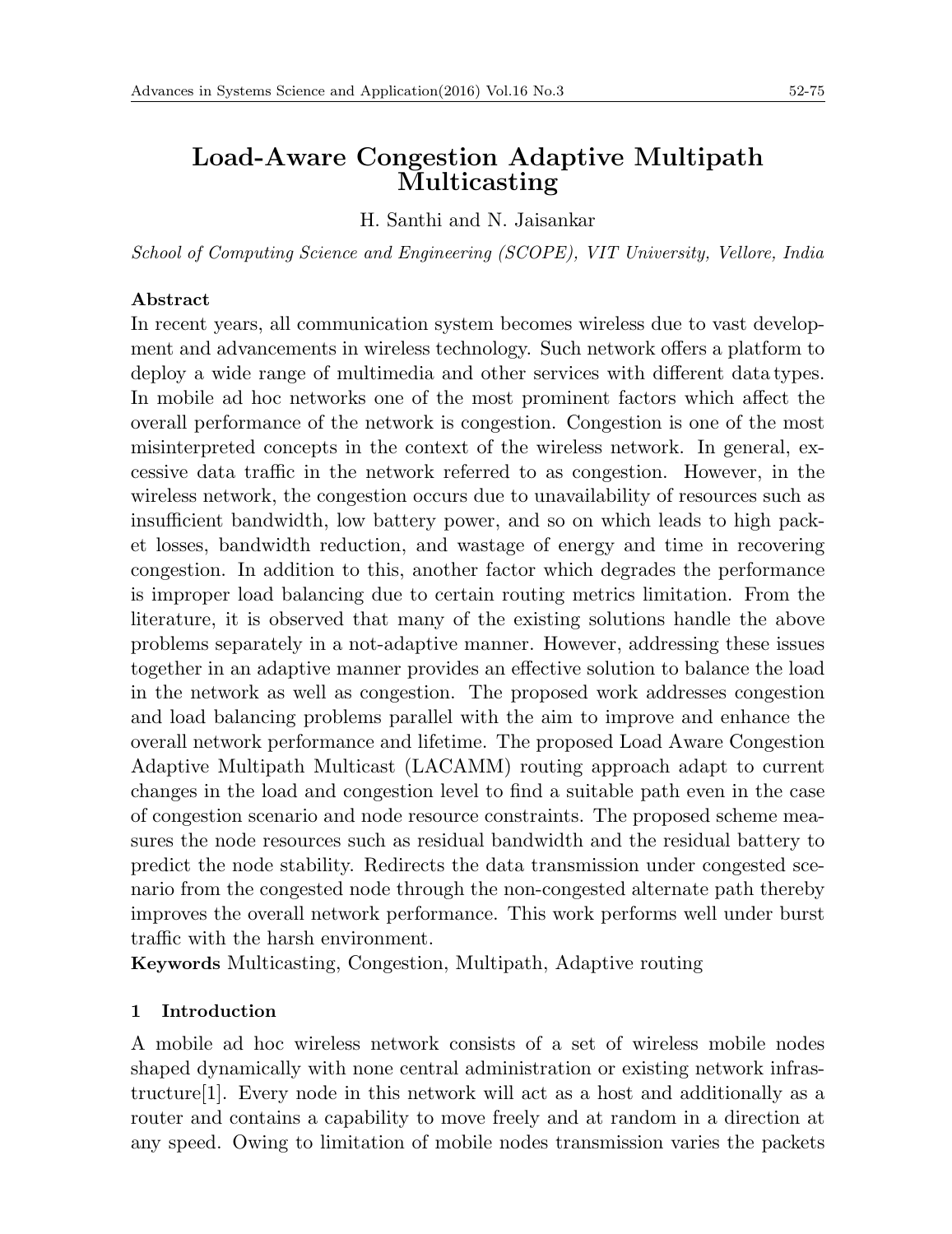# **Load-Aware Congestion Adaptive Multipath Multicasting**

H. Santhi and N. Jaisankar

*School of Computing Science and Engineering (SCOPE), VIT University, Vellore, India*

### **Abstract**

In recent years, all communication system becomes wireless due to vast development and advancements in wireless technology. Such network offers a platform to deploy a wide range of multimedia and other services with different data types. In mobile ad hoc networks one of the most prominent factors which affect the overall performance of the network is congestion. Congestion is one of the most misinterpreted concepts in the context of the wireless network. In general, excessive data traffic in the network referred to as congestion. However, in the wireless network, the congestion occurs due to unavailability of resources such as insufficient bandwidth, low battery power, and so on which leads to high packet losses, bandwidth reduction, and wastage of energy and time in recovering congestion. In addition to this, another factor which degrades the performance is improper load balancing due to certain routing metrics limitation. From the literature, it is observed that many of the existing solutions handle the above problems separately in a not-adaptive manner. However, addressing these issues together in an adaptive manner provides an effective solution to balance the load in the network as well as congestion. The proposed work addresses congestion and load balancing problems parallel with the aim to improve and enhance the overall network performance and lifetime. The proposed Load Aware Congestion Adaptive Multipath Multicast (LACAMM) routing approach adapt to current changes in the load and congestion level to find a suitable path even in the case of congestion scenario and node resource constraints. The proposed scheme measures the node resources such as residual bandwidth and the residual battery to predict the node stability. Redirects the data transmission under congested scenario from the congested node through the non-congested alternate path thereby improves the overall network performance. This work performs well under burst traffic with the harsh environment.

**Keywords** Multicasting, Congestion, Multipath, Adaptive routing

## **1 Introduction**

A mobile ad hoc wireless network consists of a set of wireless mobile nodes shaped dynamically with none central administration or existing network infrastructure[1]. Every node in this network will act as a host and additionally as a router and contains a capability to move freely and at random in a direction at any speed. Owing to limitation of mobile nodes transmission varies the packets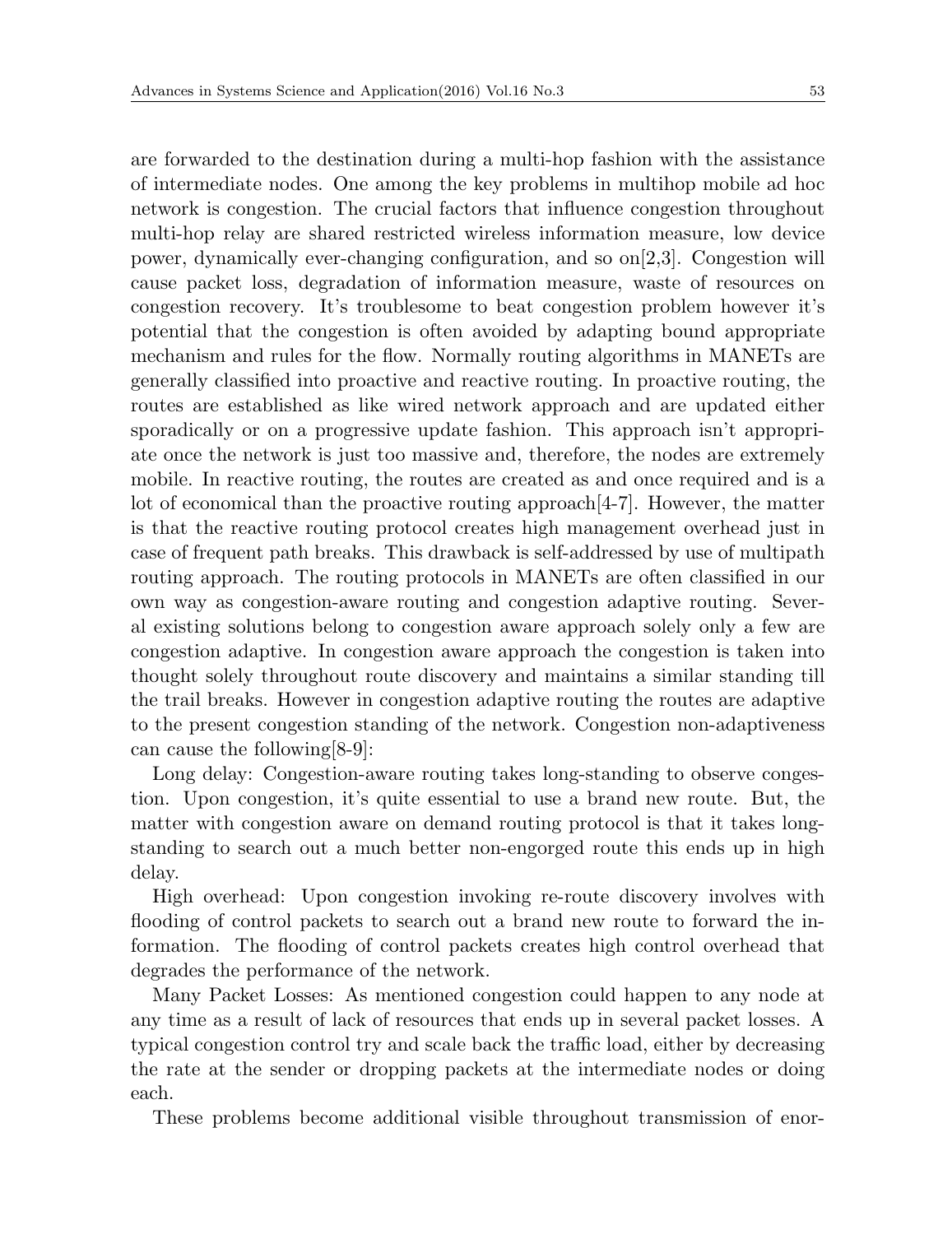are forwarded to the destination during a multi-hop fashion with the assistance of intermediate nodes. One among the key problems in multihop mobile ad hoc network is congestion. The crucial factors that influence congestion throughout multi-hop relay are shared restricted wireless information measure, low device power, dynamically ever-changing configuration, and so  $\text{on}[2,3]$ . Congestion will cause packet loss, degradation of information measure, waste of resources on congestion recovery. It's troublesome to beat congestion problem however it's potential that the congestion is often avoided by adapting bound appropriate mechanism and rules for the flow. Normally routing algorithms in MANETs are generally classified into proactive and reactive routing. In proactive routing, the routes are established as like wired network approach and are updated either sporadically or on a progressive update fashion. This approach isn't appropriate once the network is just too massive and, therefore, the nodes are extremely mobile. In reactive routing, the routes are created as and once required and is a lot of economical than the proactive routing approach[4-7]. However, the matter is that the reactive routing protocol creates high management overhead just in case of frequent path breaks. This drawback is self-addressed by use of multipath routing approach. The routing protocols in MANETs are often classified in our own way as congestion-aware routing and congestion adaptive routing. Several existing solutions belong to congestion aware approach solely only a few are congestion adaptive. In congestion aware approach the congestion is taken into thought solely throughout route discovery and maintains a similar standing till the trail breaks. However in congestion adaptive routing the routes are adaptive to the present congestion standing of the network. Congestion non-adaptiveness can cause the following[8-9]:

Long delay: Congestion-aware routing takes long-standing to observe congestion. Upon congestion, it's quite essential to use a brand new route. But, the matter with congestion aware on demand routing protocol is that it takes longstanding to search out a much better non-engorged route this ends up in high delay.

High overhead: Upon congestion invoking re-route discovery involves with flooding of control packets to search out a brand new route to forward the information. The flooding of control packets creates high control overhead that degrades the performance of the network.

Many Packet Losses: As mentioned congestion could happen to any node at any time as a result of lack of resources that ends up in several packet losses. A typical congestion control try and scale back the traffic load, either by decreasing the rate at the sender or dropping packets at the intermediate nodes or doing each.

These problems become additional visible throughout transmission of enor-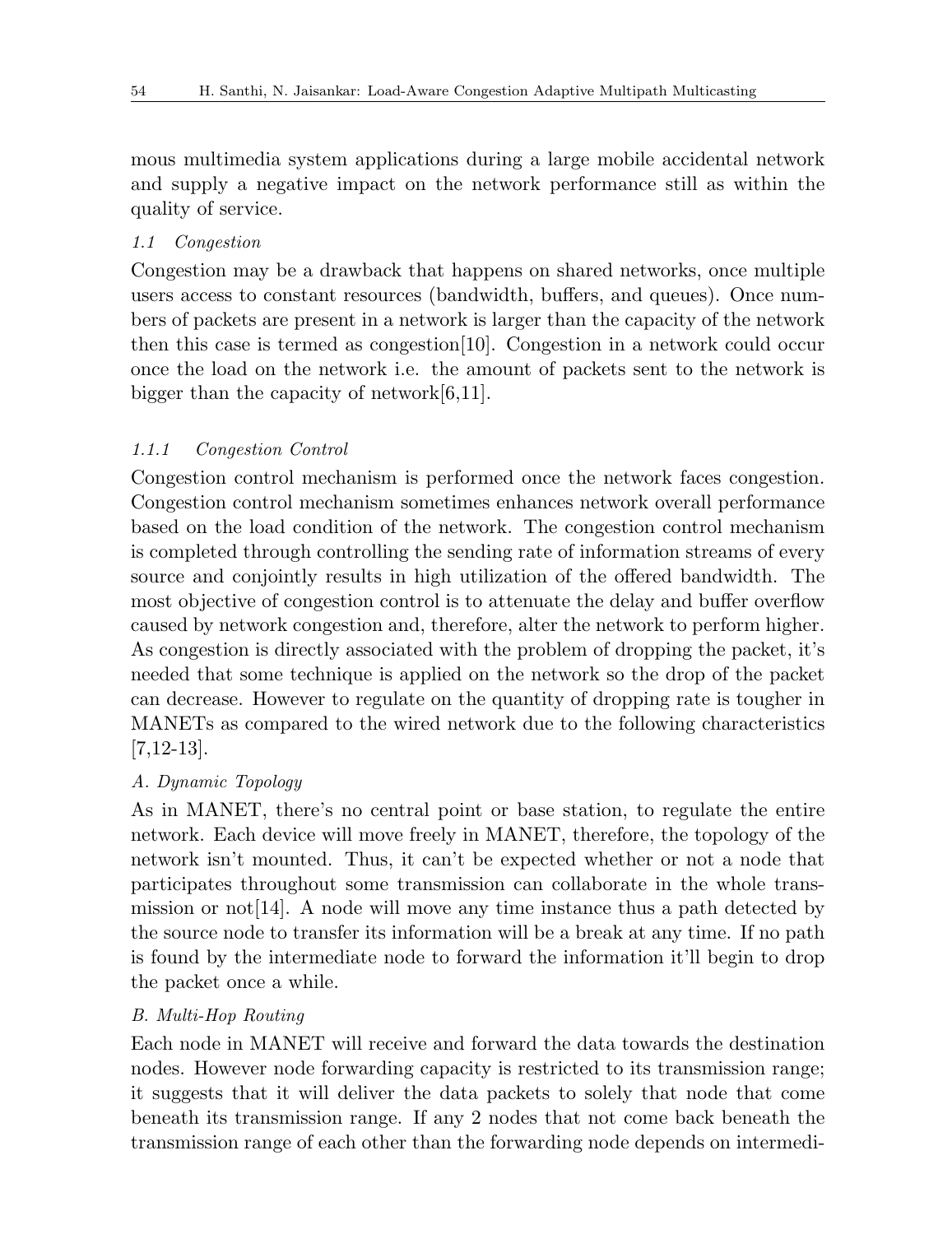mous multimedia system applications during a large mobile accidental network and supply a negative impact on the network performance still as within the quality of service.

#### *1.1 Congestion*

Congestion may be a drawback that happens on shared networks, once multiple users access to constant resources (bandwidth, buffers, and queues). Once numbers of packets are present in a network is larger than the capacity of the network then this case is termed as congestion[10]. Congestion in a network could occur once the load on the network i.e. the amount of packets sent to the network is bigger than the capacity of network[6,11].

#### *1.1.1 Congestion Control*

Congestion control mechanism is performed once the network faces congestion. Congestion control mechanism sometimes enhances network overall performance based on the load condition of the network. The congestion control mechanism is completed through controlling the sending rate of information streams of every source and conjointly results in high utilization of the offered bandwidth. The most objective of congestion control is to attenuate the delay and buffer overflow caused by network congestion and, therefore, alter the network to perform higher. As congestion is directly associated with the problem of dropping the packet, it's needed that some technique is applied on the network so the drop of the packet can decrease. However to regulate on the quantity of dropping rate is tougher in MANETs as compared to the wired network due to the following characteristics [7,12-13].

#### *A. Dynamic Topology*

As in MANET, there's no central point or base station, to regulate the entire network. Each device will move freely in MANET, therefore, the topology of the network isn't mounted. Thus, it can't be expected whether or not a node that participates throughout some transmission can collaborate in the whole transmission or not [14]. A node will move any time instance thus a path detected by the source node to transfer its information will be a break at any time. If no path is found by the intermediate node to forward the information it'll begin to drop the packet once a while.

#### *B. Multi-Hop Routing*

Each node in MANET will receive and forward the data towards the destination nodes. However node forwarding capacity is restricted to its transmission range; it suggests that it will deliver the data packets to solely that node that come beneath its transmission range. If any 2 nodes that not come back beneath the transmission range of each other than the forwarding node depends on intermedi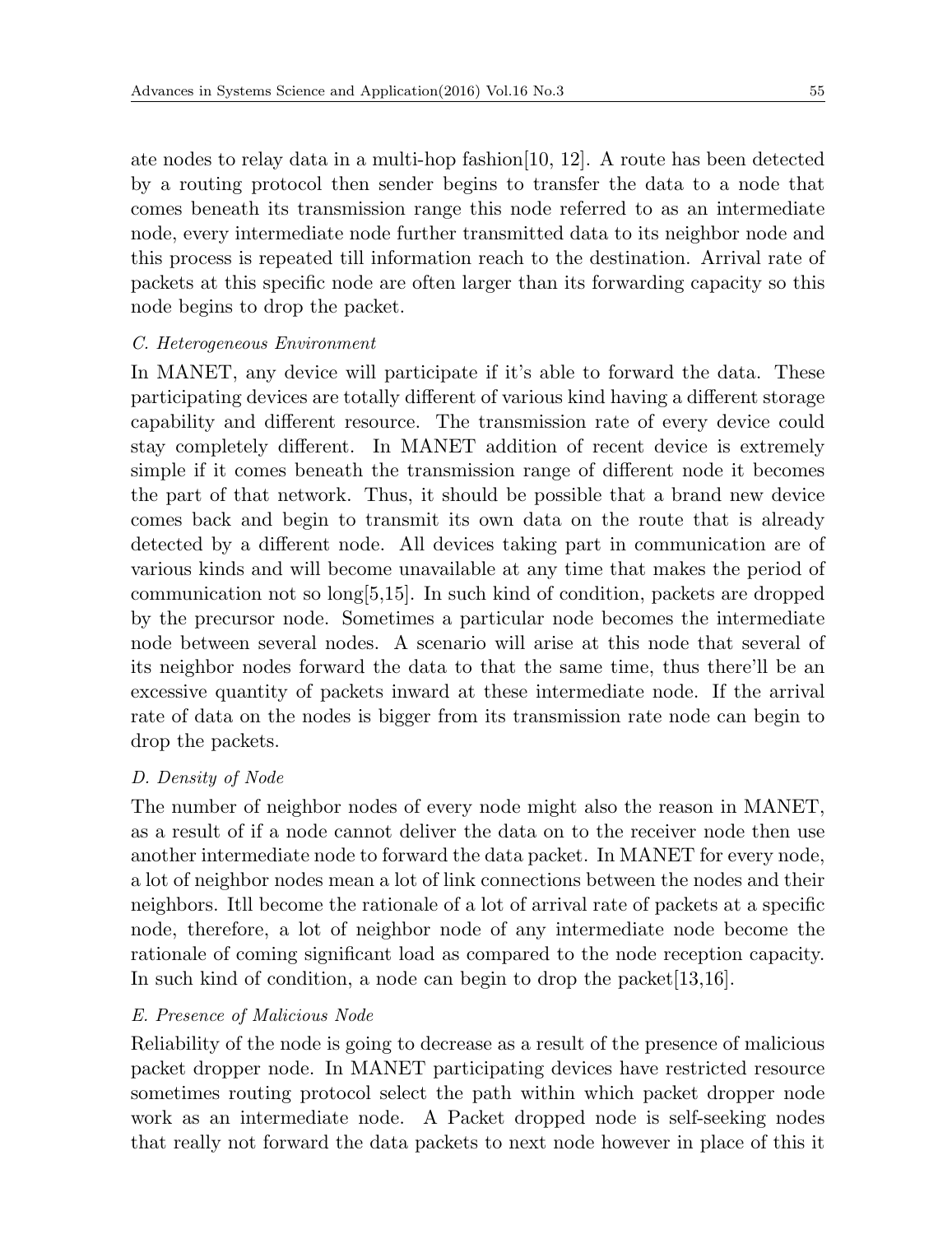ate nodes to relay data in a multi-hop fashion[10, 12]. A route has been detected by a routing protocol then sender begins to transfer the data to a node that comes beneath its transmission range this node referred to as an intermediate node, every intermediate node further transmitted data to its neighbor node and this process is repeated till information reach to the destination. Arrival rate of packets at this specific node are often larger than its forwarding capacity so this node begins to drop the packet.

#### *C. Heterogeneous Environment*

In MANET, any device will participate if it's able to forward the data. These participating devices are totally different of various kind having a different storage capability and different resource. The transmission rate of every device could stay completely different. In MANET addition of recent device is extremely simple if it comes beneath the transmission range of different node it becomes the part of that network. Thus, it should be possible that a brand new device comes back and begin to transmit its own data on the route that is already detected by a different node. All devices taking part in communication are of various kinds and will become unavailable at any time that makes the period of communication not so long[5,15]. In such kind of condition, packets are dropped by the precursor node. Sometimes a particular node becomes the intermediate node between several nodes. A scenario will arise at this node that several of its neighbor nodes forward the data to that the same time, thus there'll be an excessive quantity of packets inward at these intermediate node. If the arrival rate of data on the nodes is bigger from its transmission rate node can begin to drop the packets.

### *D. Density of Node*

The number of neighbor nodes of every node might also the reason in MANET, as a result of if a node cannot deliver the data on to the receiver node then use another intermediate node to forward the data packet. In MANET for every node, a lot of neighbor nodes mean a lot of link connections between the nodes and their neighbors. Itll become the rationale of a lot of arrival rate of packets at a specific node, therefore, a lot of neighbor node of any intermediate node become the rationale of coming significant load as compared to the node reception capacity. In such kind of condition, a node can begin to drop the packet [13,16].

### *E. Presence of Malicious Node*

Reliability of the node is going to decrease as a result of the presence of malicious packet dropper node. In MANET participating devices have restricted resource sometimes routing protocol select the path within which packet dropper node work as an intermediate node. A Packet dropped node is self-seeking nodes that really not forward the data packets to next node however in place of this it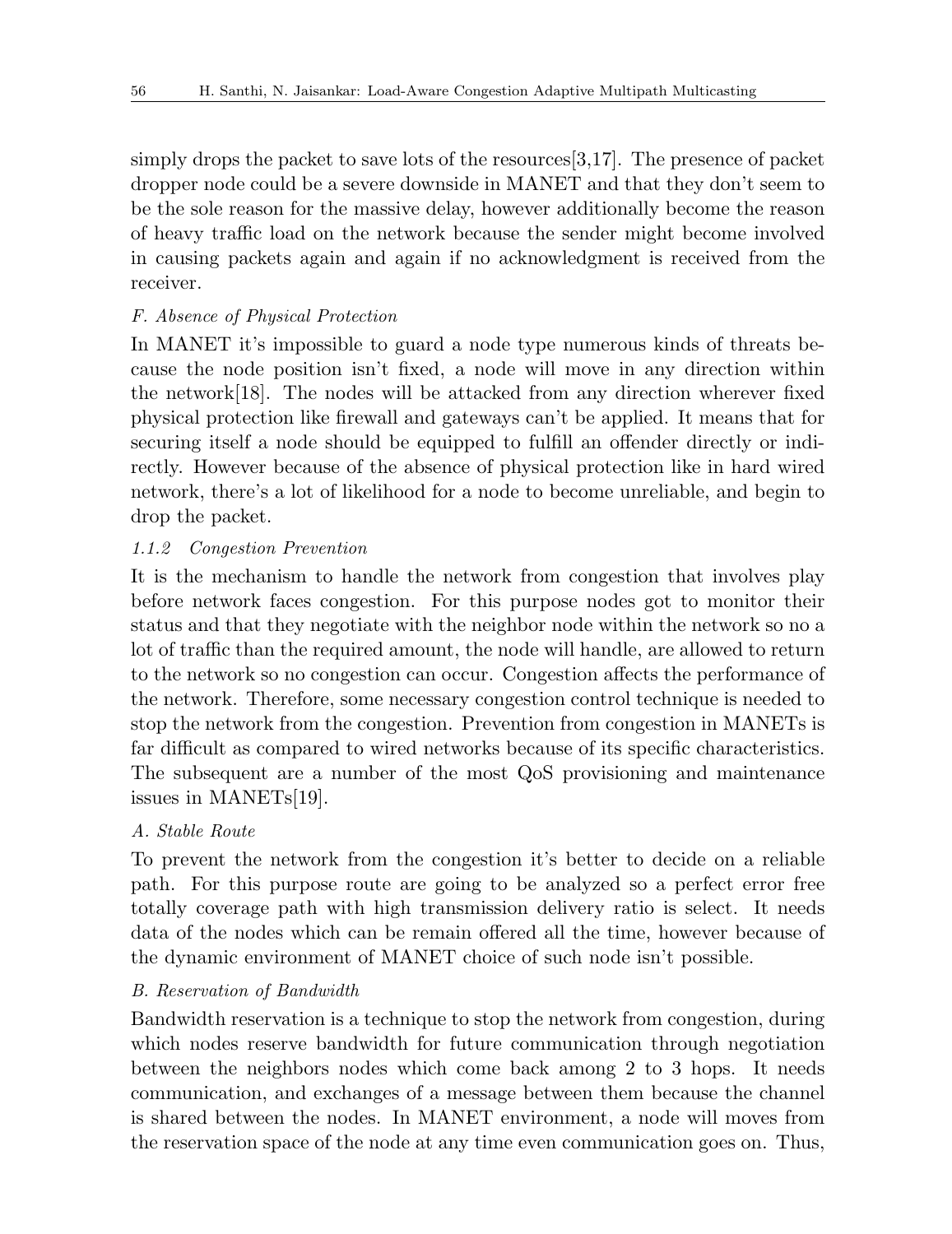simply drops the packet to save lots of the resources[3,17]. The presence of packet dropper node could be a severe downside in MANET and that they don't seem to be the sole reason for the massive delay, however additionally become the reason of heavy traffic load on the network because the sender might become involved in causing packets again and again if no acknowledgment is received from the receiver.

# *F. Absence of Physical Protection*

In MANET it's impossible to guard a node type numerous kinds of threats because the node position isn't fixed, a node will move in any direction within the network[18]. The nodes will be attacked from any direction wherever fixed physical protection like firewall and gateways can't be applied. It means that for securing itself a node should be equipped to fulfill an offender directly or indirectly. However because of the absence of physical protection like in hard wired network, there's a lot of likelihood for a node to become unreliable, and begin to drop the packet.

## *1.1.2 Congestion Prevention*

It is the mechanism to handle the network from congestion that involves play before network faces congestion. For this purpose nodes got to monitor their status and that they negotiate with the neighbor node within the network so no a lot of traffic than the required amount, the node will handle, are allowed to return to the network so no congestion can occur. Congestion affects the performance of the network. Therefore, some necessary congestion control technique is needed to stop the network from the congestion. Prevention from congestion in MANETs is far difficult as compared to wired networks because of its specific characteristics. The subsequent are a number of the most QoS provisioning and maintenance issues in MANETs[19].

## *A. Stable Route*

To prevent the network from the congestion it's better to decide on a reliable path. For this purpose route are going to be analyzed so a perfect error free totally coverage path with high transmission delivery ratio is select. It needs data of the nodes which can be remain offered all the time, however because of the dynamic environment of MANET choice of such node isn't possible.

## *B. Reservation of Bandwidth*

Bandwidth reservation is a technique to stop the network from congestion, during which nodes reserve bandwidth for future communication through negotiation between the neighbors nodes which come back among 2 to 3 hops. It needs communication, and exchanges of a message between them because the channel is shared between the nodes. In MANET environment, a node will moves from the reservation space of the node at any time even communication goes on. Thus,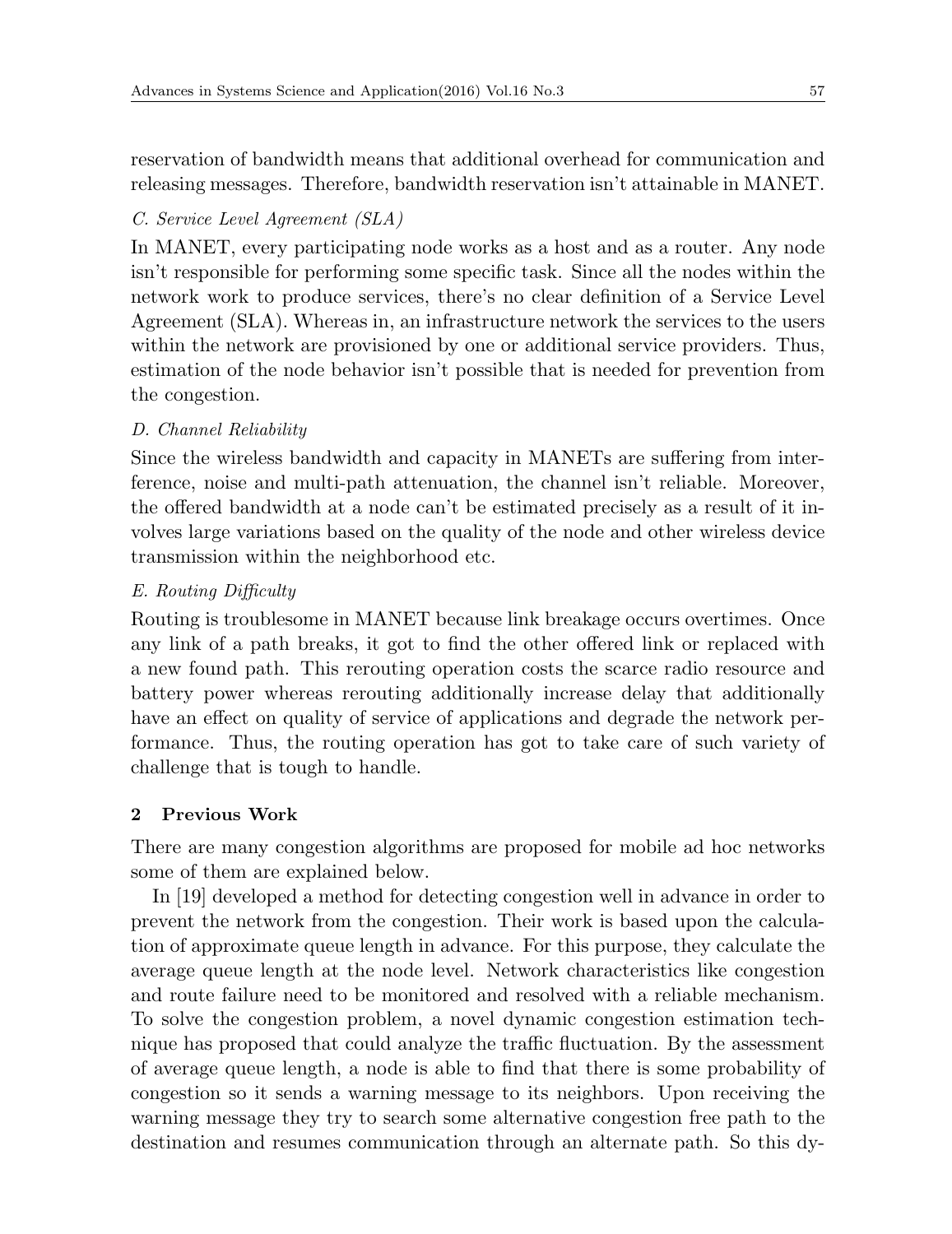reservation of bandwidth means that additional overhead for communication and releasing messages. Therefore, bandwidth reservation isn't attainable in MANET.

### *C. Service Level Agreement (SLA)*

In MANET, every participating node works as a host and as a router. Any node isn't responsible for performing some specific task. Since all the nodes within the network work to produce services, there's no clear definition of a Service Level Agreement (SLA). Whereas in, an infrastructure network the services to the users within the network are provisioned by one or additional service providers. Thus, estimation of the node behavior isn't possible that is needed for prevention from the congestion.

### *D. Channel Reliability*

Since the wireless bandwidth and capacity in MANETs are suffering from interference, noise and multi-path attenuation, the channel isn't reliable. Moreover, the offered bandwidth at a node can't be estimated precisely as a result of it involves large variations based on the quality of the node and other wireless device transmission within the neighborhood etc.

### *E. Routing Difficulty*

Routing is troublesome in MANET because link breakage occurs overtimes. Once any link of a path breaks, it got to find the other offered link or replaced with a new found path. This rerouting operation costs the scarce radio resource and battery power whereas rerouting additionally increase delay that additionally have an effect on quality of service of applications and degrade the network performance. Thus, the routing operation has got to take care of such variety of challenge that is tough to handle.

### **2 Previous Work**

There are many congestion algorithms are proposed for mobile ad hoc networks some of them are explained below.

In [19] developed a method for detecting congestion well in advance in order to prevent the network from the congestion. Their work is based upon the calculation of approximate queue length in advance. For this purpose, they calculate the average queue length at the node level. Network characteristics like congestion and route failure need to be monitored and resolved with a reliable mechanism. To solve the congestion problem, a novel dynamic congestion estimation technique has proposed that could analyze the traffic fluctuation. By the assessment of average queue length, a node is able to find that there is some probability of congestion so it sends a warning message to its neighbors. Upon receiving the warning message they try to search some alternative congestion free path to the destination and resumes communication through an alternate path. So this dy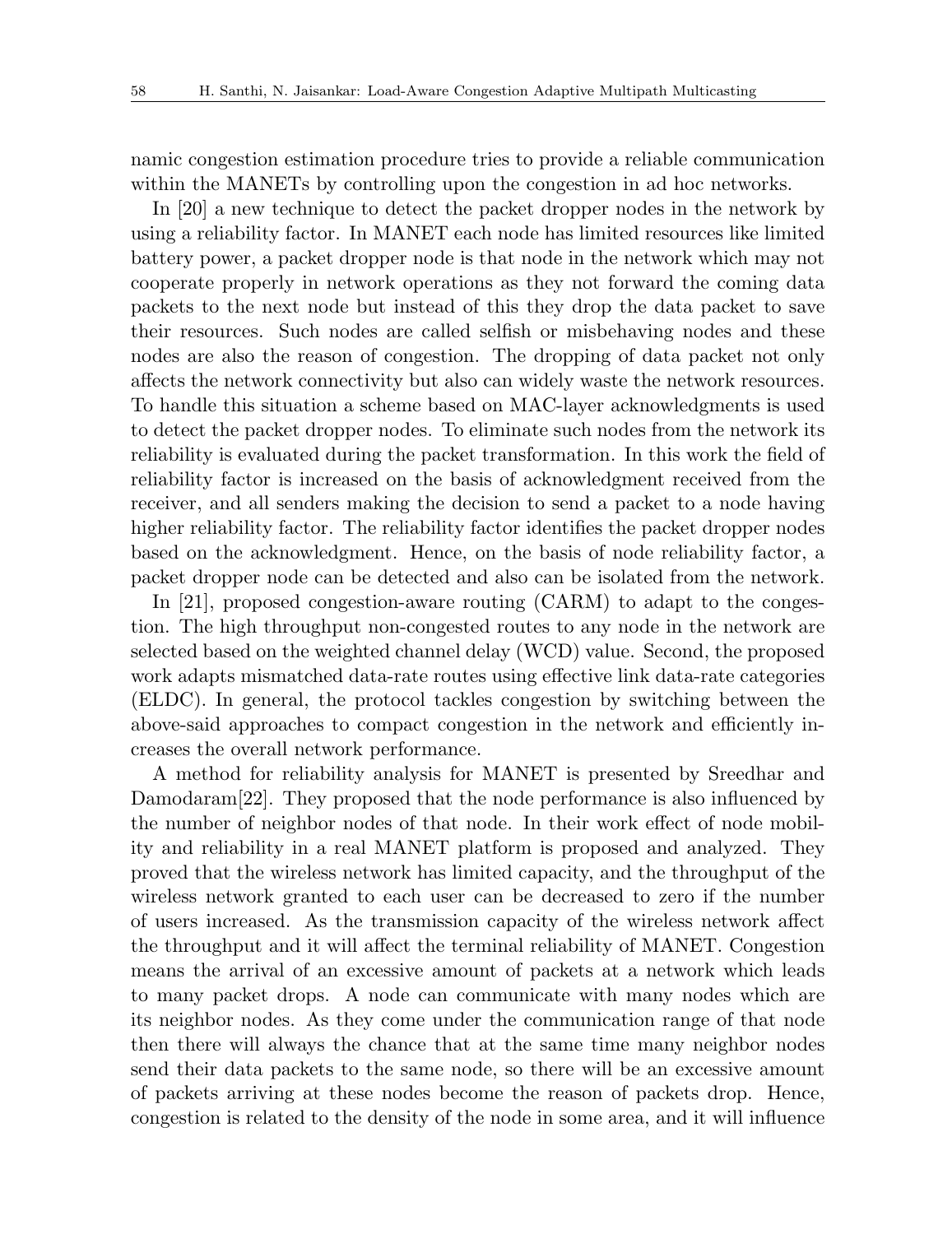namic congestion estimation procedure tries to provide a reliable communication within the MANETs by controlling upon the congestion in ad hoc networks.

In [20] a new technique to detect the packet dropper nodes in the network by using a reliability factor. In MANET each node has limited resources like limited battery power, a packet dropper node is that node in the network which may not cooperate properly in network operations as they not forward the coming data packets to the next node but instead of this they drop the data packet to save their resources. Such nodes are called selfish or misbehaving nodes and these nodes are also the reason of congestion. The dropping of data packet not only affects the network connectivity but also can widely waste the network resources. To handle this situation a scheme based on MAC-layer acknowledgments is used to detect the packet dropper nodes. To eliminate such nodes from the network its reliability is evaluated during the packet transformation. In this work the field of reliability factor is increased on the basis of acknowledgment received from the receiver, and all senders making the decision to send a packet to a node having higher reliability factor. The reliability factor identifies the packet dropper nodes based on the acknowledgment. Hence, on the basis of node reliability factor, a packet dropper node can be detected and also can be isolated from the network.

In [21], proposed congestion-aware routing (CARM) to adapt to the congestion. The high throughput non-congested routes to any node in the network are selected based on the weighted channel delay (WCD) value. Second, the proposed work adapts mismatched data-rate routes using effective link data-rate categories (ELDC). In general, the protocol tackles congestion by switching between the above-said approaches to compact congestion in the network and efficiently increases the overall network performance.

A method for reliability analysis for MANET is presented by Sreedhar and Damodaram[22]. They proposed that the node performance is also influenced by the number of neighbor nodes of that node. In their work effect of node mobility and reliability in a real MANET platform is proposed and analyzed. They proved that the wireless network has limited capacity, and the throughput of the wireless network granted to each user can be decreased to zero if the number of users increased. As the transmission capacity of the wireless network affect the throughput and it will affect the terminal reliability of MANET. Congestion means the arrival of an excessive amount of packets at a network which leads to many packet drops. A node can communicate with many nodes which are its neighbor nodes. As they come under the communication range of that node then there will always the chance that at the same time many neighbor nodes send their data packets to the same node, so there will be an excessive amount of packets arriving at these nodes become the reason of packets drop. Hence, congestion is related to the density of the node in some area, and it will influence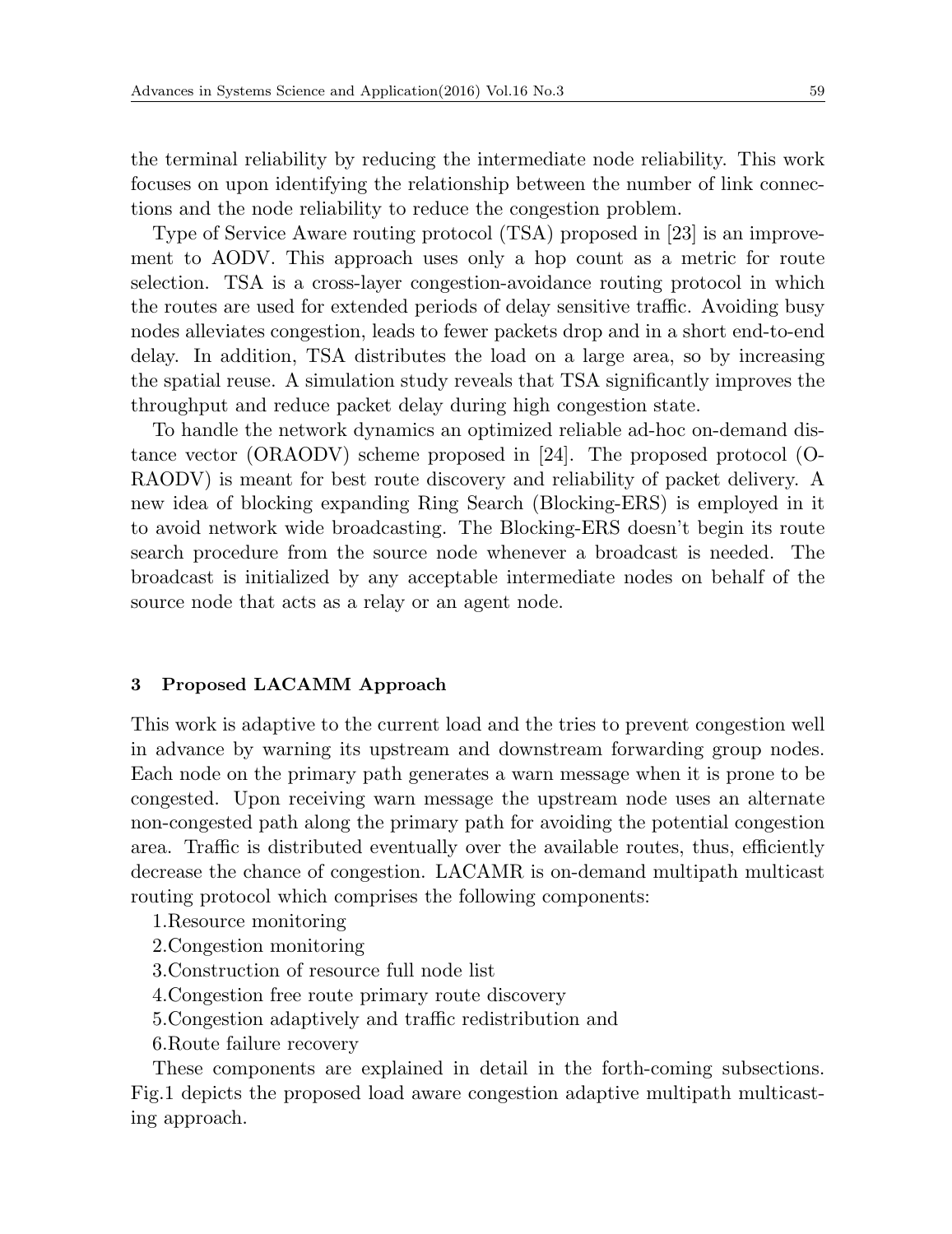the terminal reliability by reducing the intermediate node reliability. This work focuses on upon identifying the relationship between the number of link connections and the node reliability to reduce the congestion problem.

Type of Service Aware routing protocol (TSA) proposed in [23] is an improvement to AODV. This approach uses only a hop count as a metric for route selection. TSA is a cross-layer congestion-avoidance routing protocol in which the routes are used for extended periods of delay sensitive traffic. Avoiding busy nodes alleviates congestion, leads to fewer packets drop and in a short end-to-end delay. In addition, TSA distributes the load on a large area, so by increasing the spatial reuse. A simulation study reveals that TSA significantly improves the throughput and reduce packet delay during high congestion state.

To handle the network dynamics an optimized reliable ad-hoc on-demand distance vector (ORAODV) scheme proposed in [24]. The proposed protocol (O-RAODV) is meant for best route discovery and reliability of packet delivery. A new idea of blocking expanding Ring Search (Blocking-ERS) is employed in it to avoid network wide broadcasting. The Blocking-ERS doesn't begin its route search procedure from the source node whenever a broadcast is needed. The broadcast is initialized by any acceptable intermediate nodes on behalf of the source node that acts as a relay or an agent node.

#### **3 Proposed LACAMM Approach**

This work is adaptive to the current load and the tries to prevent congestion well in advance by warning its upstream and downstream forwarding group nodes. Each node on the primary path generates a warn message when it is prone to be congested. Upon receiving warn message the upstream node uses an alternate non-congested path along the primary path for avoiding the potential congestion area. Traffic is distributed eventually over the available routes, thus, efficiently decrease the chance of congestion. LACAMR is on-demand multipath multicast routing protocol which comprises the following components:

1.Resource monitoring

- 2.Congestion monitoring
- 3.Construction of resource full node list
- 4.Congestion free route primary route discovery
- 5.Congestion adaptively and traffic redistribution and
- 6.Route failure recovery

These components are explained in detail in the forth-coming subsections. Fig.1 depicts the proposed load aware congestion adaptive multipath multicasting approach.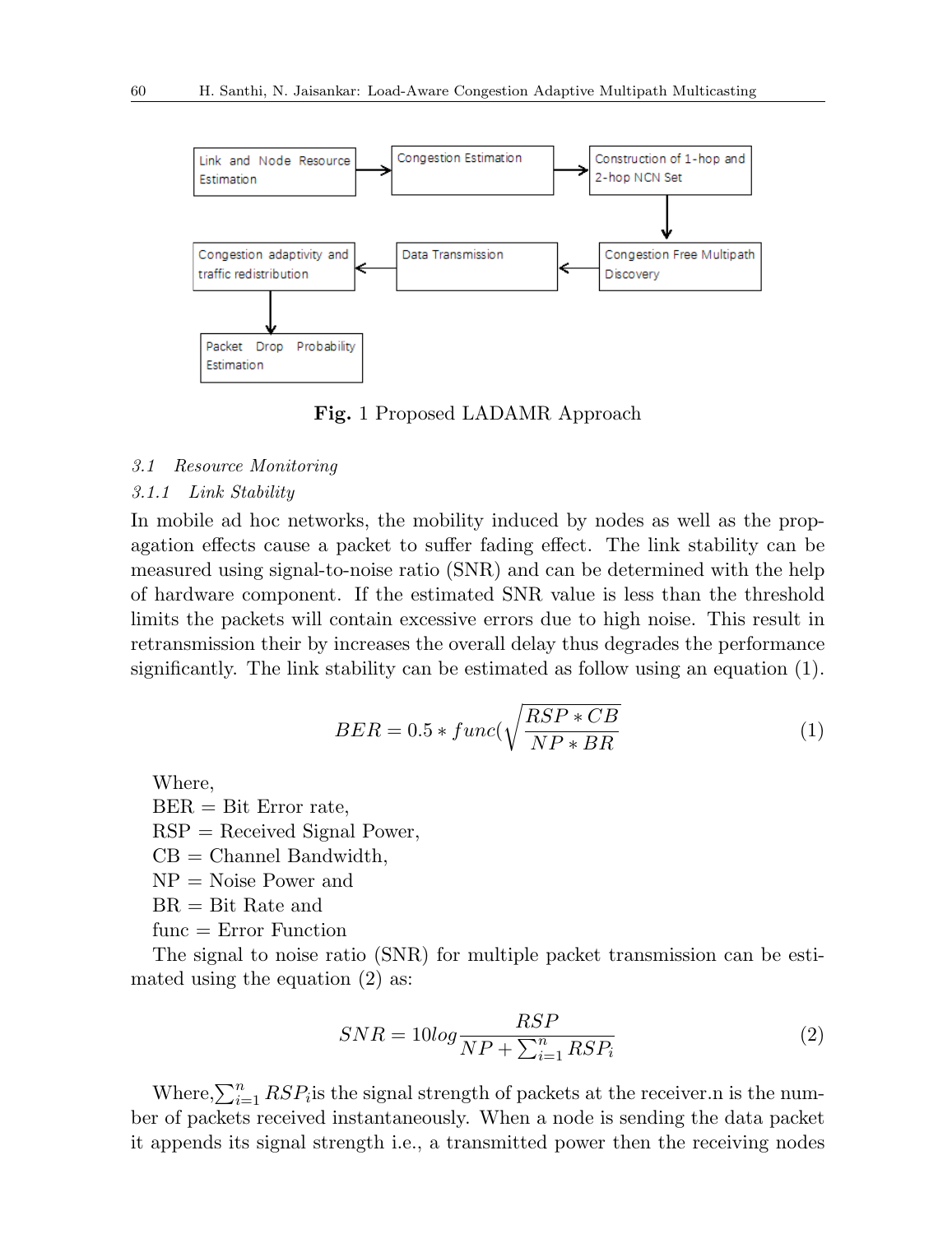

**Fig.** 1 Proposed LADAMR Approach

#### *3.1 Resource Monitoring*

#### *3.1.1 Link Stability*

In mobile ad hoc networks, the mobility induced by nodes as well as the propagation effects cause a packet to suffer fading effect. The link stability can be measured using signal-to-noise ratio (SNR) and can be determined with the help of hardware component. If the estimated SNR value is less than the threshold limits the packets will contain excessive errors due to high noise. This result in retransmission their by increases the overall delay thus degrades the performance significantly. The link stability can be estimated as follow using an equation (1).

$$
BER = 0.5 * func(\sqrt{\frac{RSP * CB}{NP * BR}} \tag{1}
$$

Where,

 $BER = Bit Error rate$ ,  $RSP =$  Received Signal Power,  $CB =$  Channel Bandwidth,  $NP = Noise Power and$  $BR = Bit Rate$  and func = Error Function

The signal to noise ratio (SNR) for multiple packet transmission can be estimated using the equation (2) as:

$$
SNR = 10\log \frac{RSP}{NP + \sum_{i=1}^{n} RSP_i}
$$
\n<sup>(2)</sup>

Where, $\sum_{i=1}^{n} RSP_i$  is the signal strength of packets at the receiver.n is the number of packets received instantaneously. When a node is sending the data packet it appends its signal strength i.e., a transmitted power then the receiving nodes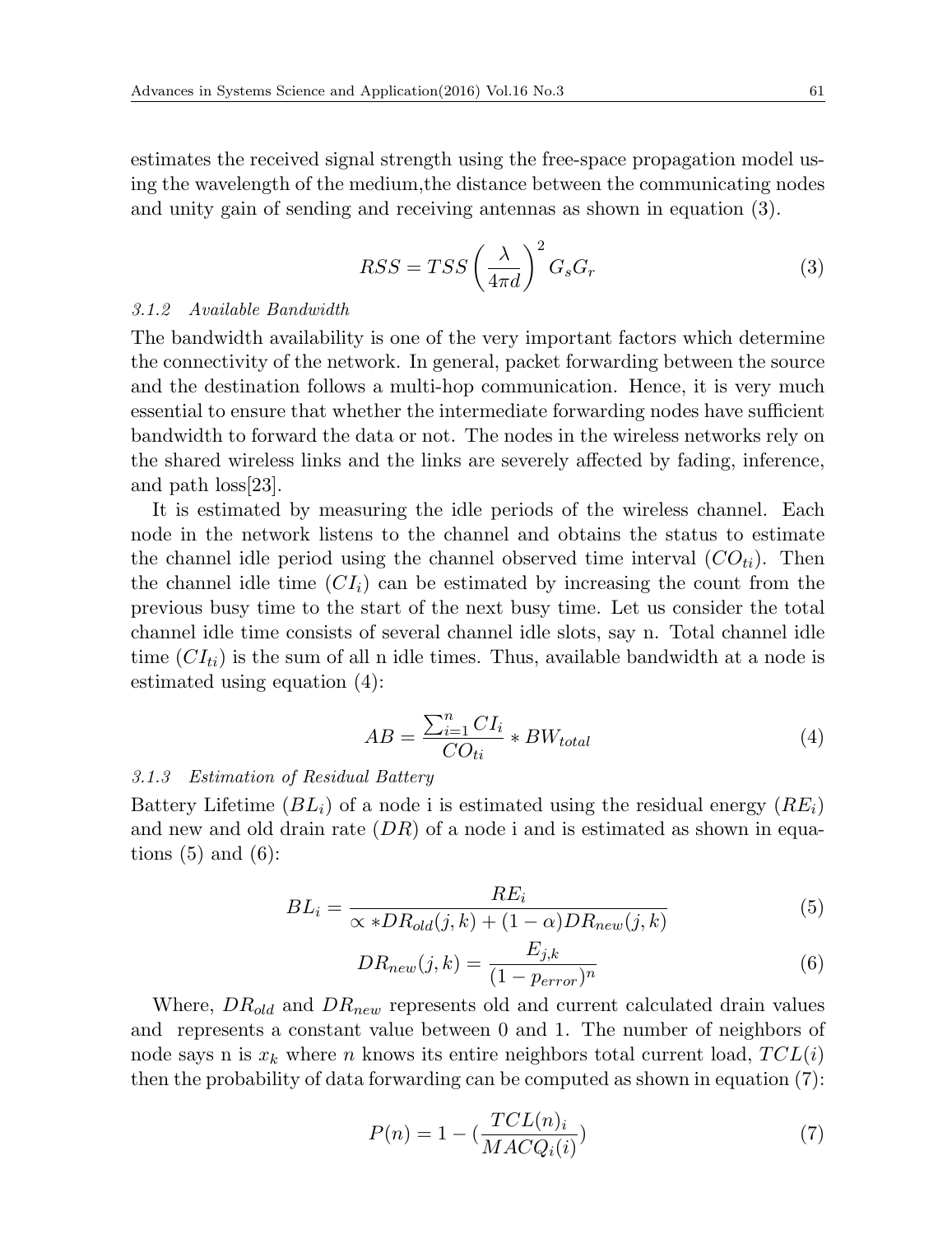estimates the received signal strength using the free-space propagation model using the wavelength of the medium,the distance between the communicating nodes and unity gain of sending and receiving antennas as shown in equation (3).

$$
RSS = TSS \left(\frac{\lambda}{4\pi d}\right)^2 G_s G_r \tag{3}
$$

#### *3.1.2 Available Bandwidth*

The bandwidth availability is one of the very important factors which determine the connectivity of the network. In general, packet forwarding between the source and the destination follows a multi-hop communication. Hence, it is very much essential to ensure that whether the intermediate forwarding nodes have sufficient bandwidth to forward the data or not. The nodes in the wireless networks rely on the shared wireless links and the links are severely affected by fading, inference, and path loss[23].

It is estimated by measuring the idle periods of the wireless channel. Each node in the network listens to the channel and obtains the status to estimate the channel idle period using the channel observed time interval  $(CO_{ti})$ . Then the channel idle time  $(Cl<sub>i</sub>)$  can be estimated by increasing the count from the previous busy time to the start of the next busy time. Let us consider the total channel idle time consists of several channel idle slots, say n. Total channel idle time  $(CI_{ti})$  is the sum of all n idle times. Thus, available bandwidth at a node is estimated using equation (4):

$$
AB = \frac{\sum_{i=1}^{n} CI_i}{CO_{ti}} * BW_{total}
$$
\n(4)

#### *3.1.3 Estimation of Residual Battery*

Battery Lifetime  $(BL_i)$  of a node i is estimated using the residual energy  $(RE_i)$ and new and old drain rate (*DR*) of a node i and is estimated as shown in equations  $(5)$  and  $(6)$ :

$$
BL_i = \frac{RE_i}{\propto *DR_{old}(j,k) + (1-\alpha)DR_{new}(j,k)}
$$
(5)

$$
DR_{new}(j,k) = \frac{E_{j,k}}{(1 - p_{error})^n}
$$
\n(6)

Where, *DRold* and *DRnew* represents old and current calculated drain values and represents a constant value between 0 and 1. The number of neighbors of node says n is  $x_k$  where *n* knows its entire neighbors total current load,  $TCL(i)$ then the probability of data forwarding can be computed as shown in equation (7):

$$
P(n) = 1 - \left(\frac{TCL(n)_i}{MACQ_i(i)}\right) \tag{7}
$$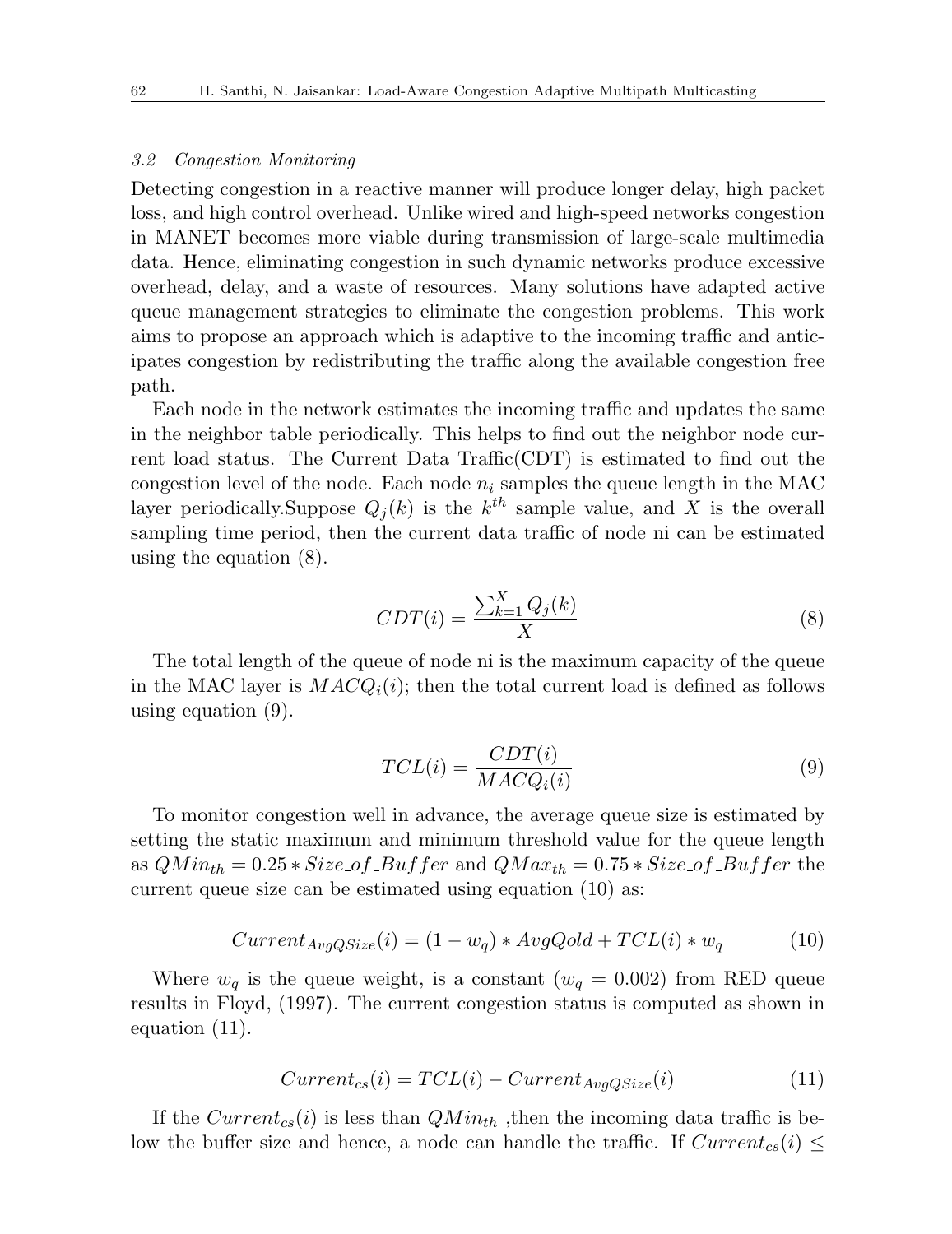#### *3.2 Congestion Monitoring*

Detecting congestion in a reactive manner will produce longer delay, high packet loss, and high control overhead. Unlike wired and high-speed networks congestion in MANET becomes more viable during transmission of large-scale multimedia data. Hence, eliminating congestion in such dynamic networks produce excessive overhead, delay, and a waste of resources. Many solutions have adapted active queue management strategies to eliminate the congestion problems. This work aims to propose an approach which is adaptive to the incoming traffic and anticipates congestion by redistributing the traffic along the available congestion free path.

Each node in the network estimates the incoming traffic and updates the same in the neighbor table periodically. This helps to find out the neighbor node current load status. The Current Data Traffic(CDT) is estimated to find out the congestion level of the node. Each node  $n_i$  samples the queue length in the MAC layer periodically. Suppose  $Q_j(k)$  is the  $k^{th}$  sample value, and X is the overall sampling time period, then the current data traffic of node ni can be estimated using the equation (8).

$$
CDT(i) = \frac{\sum_{k=1}^{X} Q_j(k)}{X}
$$
\n(8)

The total length of the queue of node ni is the maximum capacity of the queue in the MAC layer is  $MACQ_i(i)$ ; then the total current load is defined as follows using equation (9).

$$
TCL(i) = \frac{CDT(i)}{MACQ_i(i)}
$$
\n(9)

To monitor congestion well in advance, the average queue size is estimated by setting the static maximum and minimum threshold value for the queue length as  $QMin_{th} = 0.25 * Size\_of\_Buffer$  and  $QMax_{th} = 0.75 * Size\_of\_Buffer$  the current queue size can be estimated using equation (10) as:

$$
Current_{AvgQSize}(i) = (1 - w_q) * AvgQold + TCL(i) * w_q
$$
\n(10)

Where  $w_q$  is the queue weight, is a constant ( $w_q = 0.002$ ) from RED queue results in Floyd, (1997). The current congestion status is computed as shown in equation (11).

$$
Current_{cs}(i) = TCL(i) - Current_{AvgQSize}(i)
$$
\n(11)

If the  $Current_{cs}(i)$  is less than  $QMin_{th}$ , then the incoming data traffic is below the buffer size and hence, a node can handle the traffic. If  $Current_{cs}(i) \leq$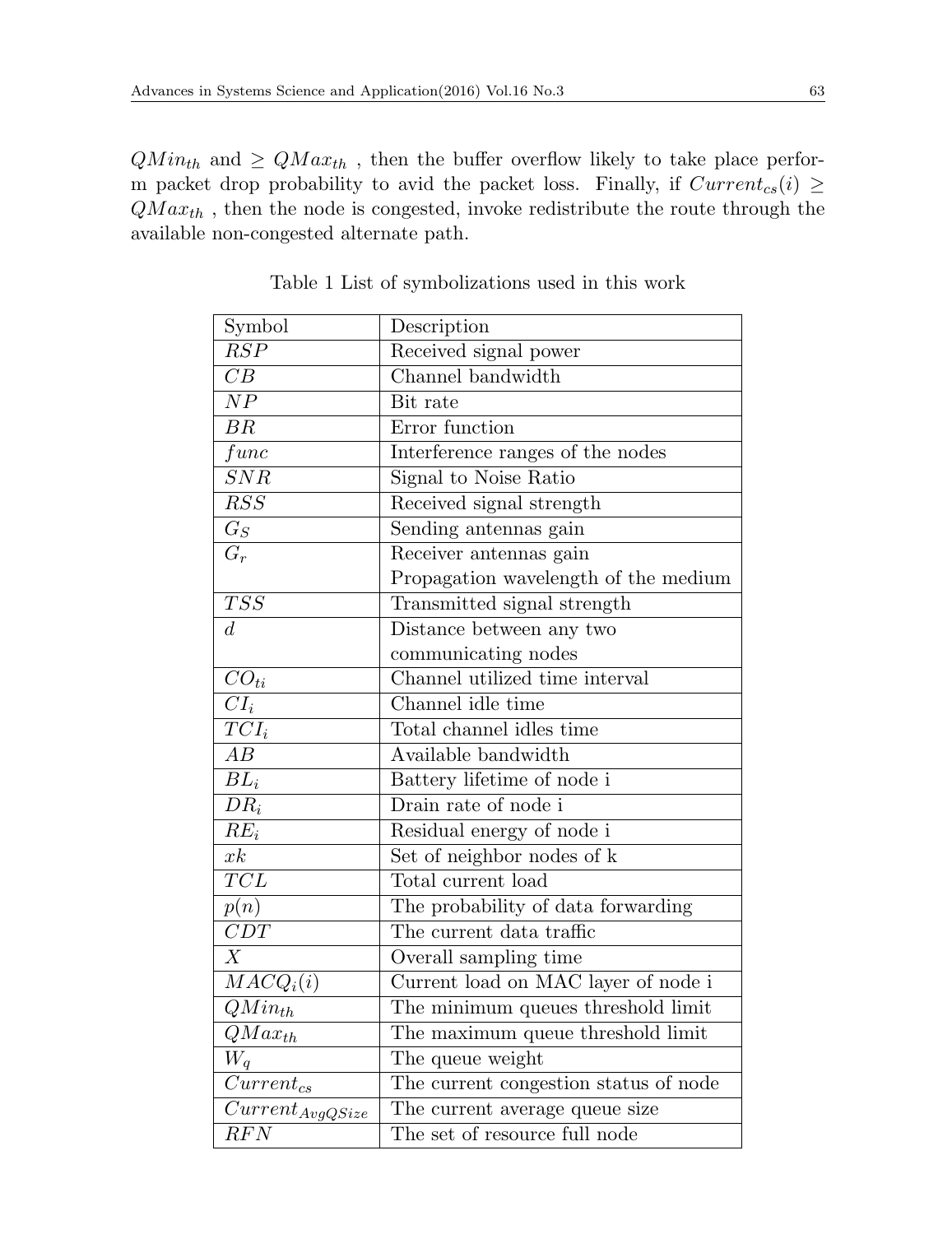$QMin_{th}$  and  $\geq QMax_{th}$ , then the buffer overflow likely to take place perform packet drop probability to avid the packet loss. Finally, if  $Current_{cs}(i) \geq$ *QM axth* , then the node is congested, invoke redistribute the route through the available non-congested alternate path.

| Symbol                          | Description                           |  |
|---------------------------------|---------------------------------------|--|
| $\overline{RSP}$                | Received signal power                 |  |
| $\overline{CB}$                 | Channel bandwidth                     |  |
| $\overline{NP}$                 | Bit rate                              |  |
| BR                              | Error function                        |  |
| func                            | Interference ranges of the nodes      |  |
| $\overline{SNR}$                | Signal to Noise Ratio                 |  |
| $\overline{RSS}$                | Received signal strength              |  |
| $G_S$                           | Sending antennas gain                 |  |
| $G_r$                           | Receiver antennas gain                |  |
|                                 | Propagation wavelength of the medium  |  |
| TSS                             | Transmitted signal strength           |  |
| $\overline{d}$                  | Distance between any two              |  |
|                                 | communicating nodes                   |  |
| $\overline{CO}_{ti}$            | Channel utilized time interval        |  |
| $\overline{CI_i}$               | Channel idle time                     |  |
| $TCI_i$                         | Total channel idles time              |  |
| $\overline{AB}$                 | Available bandwidth                   |  |
| $BL_i$                          | Battery lifetime of node i            |  |
| $DR_i$                          | Drain rate of node i                  |  |
| $RE_i$                          | Residual energy of node i             |  |
| $x_k$                           | Set of neighbor nodes of k            |  |
| $\overline{TCL}$                | Total current load                    |  |
| p(n)                            | The probability of data forwarding    |  |
| $\overline{CDT}$                | The current data traffic              |  |
| X                               | Overall sampling time                 |  |
| $MACQ_i(i)$                     | Current load on MAC layer of node i   |  |
| $QMin_{th}$                     | The minimum queues threshold limit    |  |
| $QMax_{th}$                     | The maximum queue threshold limit     |  |
| $W_a$                           | The queue weight                      |  |
| $Current_{cs}$                  | The current congestion status of node |  |
| $\overline{Current_{AvgQSize}}$ | The current average queue size        |  |
| $\overline{RFN}$                | The set of resource full node         |  |

Table 1 List of symbolizations used in this work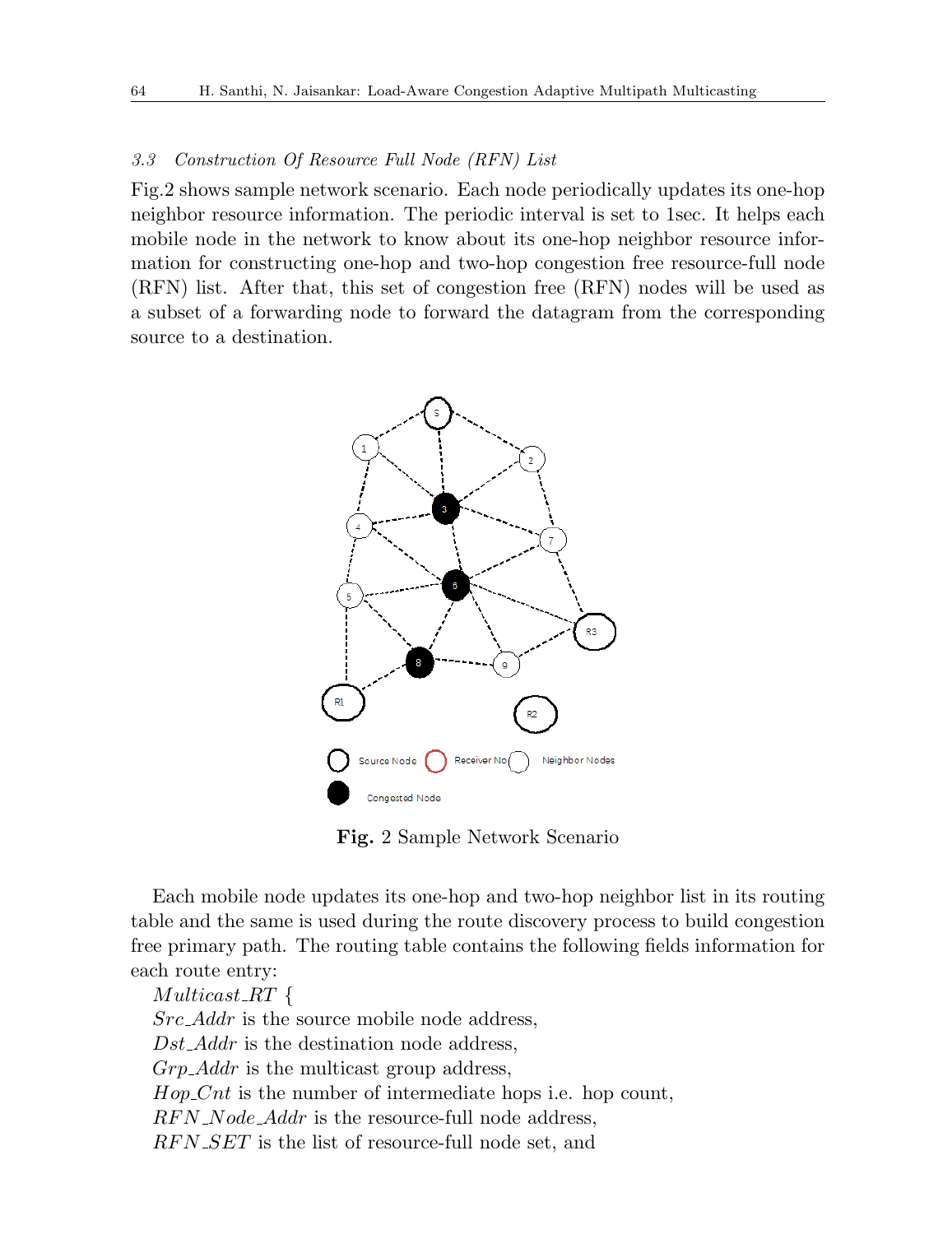#### *3.3 Construction Of Resource Full Node (RFN) List*

Fig.2 shows sample network scenario. Each node periodically updates its one-hop neighbor resource information. The periodic interval is set to 1sec. It helps each mobile node in the network to know about its one-hop neighbor resource information for constructing one-hop and two-hop congestion free resource-full node (RFN) list. After that, this set of congestion free (RFN) nodes will be used as a subset of a forwarding node to forward the datagram from the corresponding source to a destination.



**Fig.** 2 Sample Network Scenario

Each mobile node updates its one-hop and two-hop neighbor list in its routing table and the same is used during the route discovery process to build congestion free primary path. The routing table contains the following fields information for each route entry:

*Multicast RT { Src Addr* is the source mobile node address, *Dst Addr* is the destination node address, *Grp Addr* is the multicast group address, *Hop\_Cnt* is the number of intermediate hops i.e. hop count, *RF N Node Addr* is the resource-full node address, *RF N SET* is the list of resource-full node set, and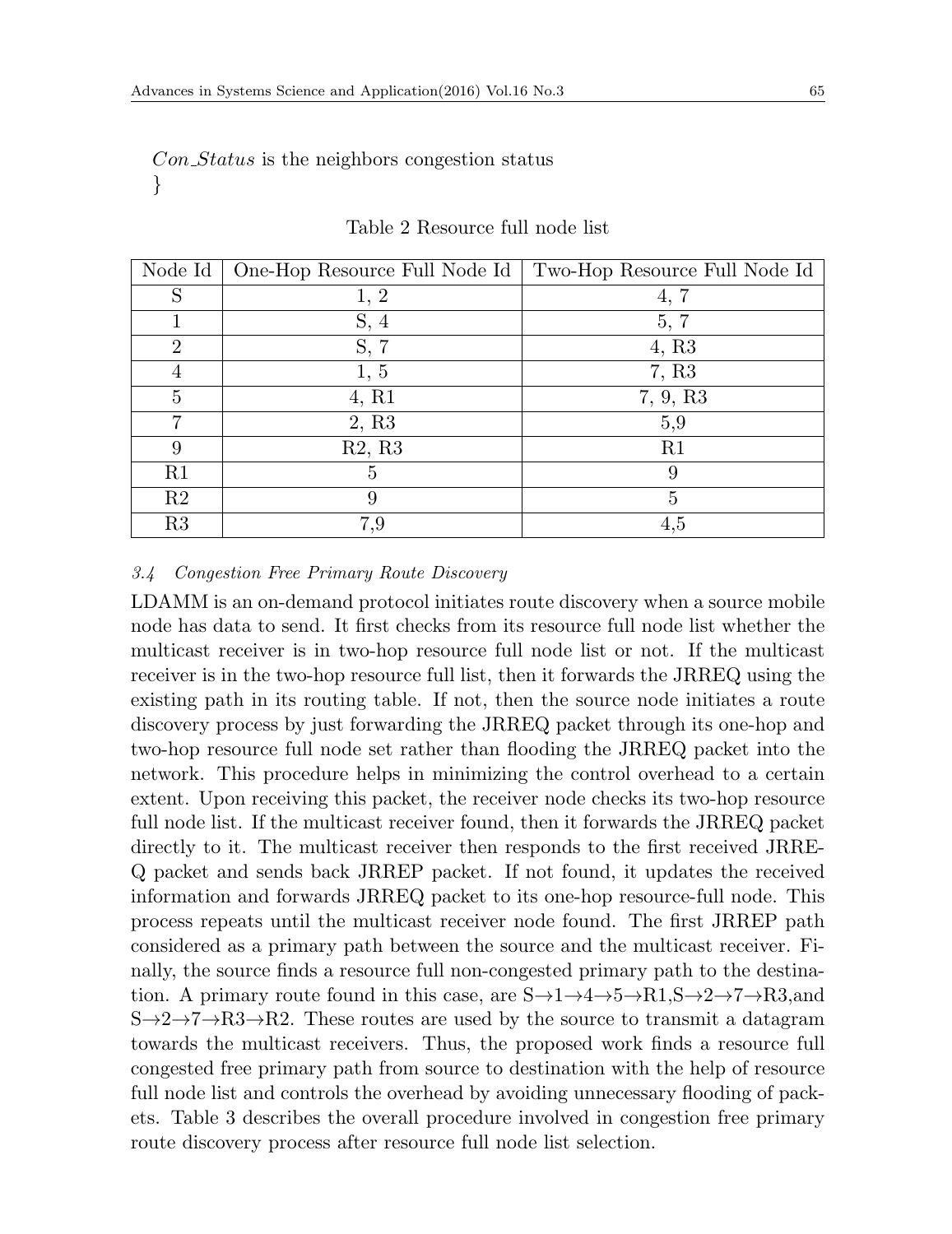*Con Status* is the neighbors congestion status *}*

| Node Id        | One-Hop Resource Full Node Id | Two-Hop Resource Full Node Id |
|----------------|-------------------------------|-------------------------------|
| S              | 1, 2                          | 4,                            |
|                | S, 4                          | 5, 7                          |
| $\overline{2}$ | S, 7                          | 4, R <sub>3</sub>             |
| 4              | 1, 5                          | 7, R3                         |
| 5              | 4, R1                         | 7, 9, R3                      |
|                | 2, R3                         | 5,9                           |
| 9              | R2, R3                        | R1                            |
| R1             | 5                             | 9                             |
| R <sub>2</sub> | 9                             | 5                             |
| R3             | 7,9                           | 4,5                           |

#### Table 2 Resource full node list

#### *3.4 Congestion Free Primary Route Discovery*

LDAMM is an on-demand protocol initiates route discovery when a source mobile node has data to send. It first checks from its resource full node list whether the multicast receiver is in two-hop resource full node list or not. If the multicast receiver is in the two-hop resource full list, then it forwards the JRREQ using the existing path in its routing table. If not, then the source node initiates a route discovery process by just forwarding the JRREQ packet through its one-hop and two-hop resource full node set rather than flooding the JRREQ packet into the network. This procedure helps in minimizing the control overhead to a certain extent. Upon receiving this packet, the receiver node checks its two-hop resource full node list. If the multicast receiver found, then it forwards the JRREQ packet directly to it. The multicast receiver then responds to the first received JRRE-Q packet and sends back JRREP packet. If not found, it updates the received information and forwards JRREQ packet to its one-hop resource-full node. This process repeats until the multicast receiver node found. The first JRREP path considered as a primary path between the source and the multicast receiver. Finally, the source finds a resource full non-congested primary path to the destination. A primary route found in this case, are S*→*1*→*4*→*5*→*R1,S*→*2*→*7*→*R3,and S*→*2*→*7*→*R3*→*R2. These routes are used by the source to transmit a datagram towards the multicast receivers. Thus, the proposed work finds a resource full congested free primary path from source to destination with the help of resource full node list and controls the overhead by avoiding unnecessary flooding of packets. Table 3 describes the overall procedure involved in congestion free primary route discovery process after resource full node list selection.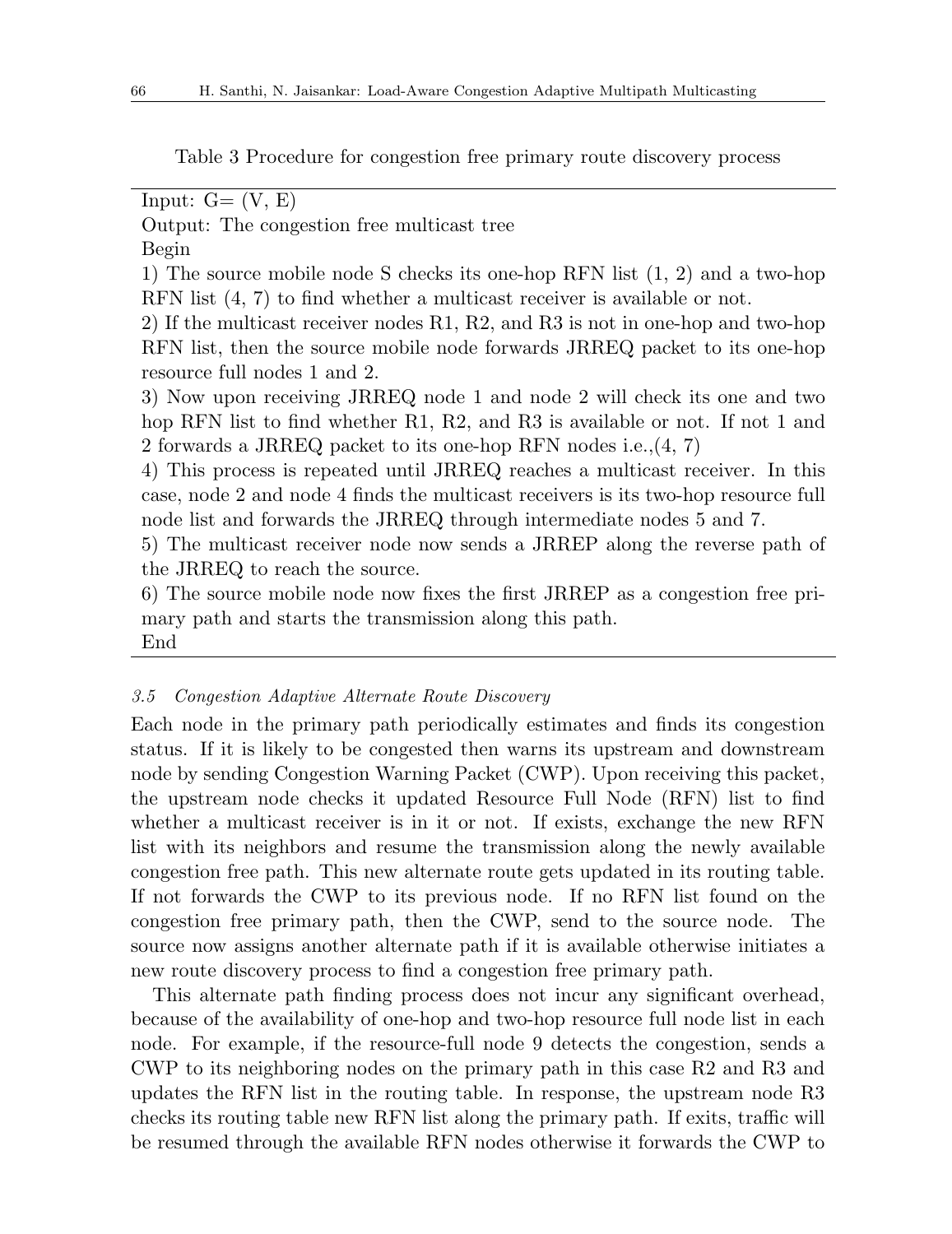Table 3 Procedure for congestion free primary route discovery process

Input:  $G = (V, E)$ 

Output: The congestion free multicast tree

Begin

1) The source mobile node S checks its one-hop RFN list (1, 2) and a two-hop RFN list (4, 7) to find whether a multicast receiver is available or not.

2) If the multicast receiver nodes R1, R2, and R3 is not in one-hop and two-hop RFN list, then the source mobile node forwards JRREQ packet to its one-hop resource full nodes 1 and 2.

3) Now upon receiving JRREQ node 1 and node 2 will check its one and two hop RFN list to find whether R1, R2, and R3 is available or not. If not 1 and 2 forwards a JRREQ packet to its one-hop RFN nodes i.e.,(4, 7)

4) This process is repeated until JRREQ reaches a multicast receiver. In this case, node 2 and node 4 finds the multicast receivers is its two-hop resource full node list and forwards the JRREQ through intermediate nodes 5 and 7.

5) The multicast receiver node now sends a JRREP along the reverse path of the JRREQ to reach the source.

6) The source mobile node now fixes the first JRREP as a congestion free primary path and starts the transmission along this path. End

#### *3.5 Congestion Adaptive Alternate Route Discovery*

Each node in the primary path periodically estimates and finds its congestion status. If it is likely to be congested then warns its upstream and downstream node by sending Congestion Warning Packet (CWP). Upon receiving this packet, the upstream node checks it updated Resource Full Node (RFN) list to find whether a multicast receiver is in it or not. If exists, exchange the new RFN list with its neighbors and resume the transmission along the newly available congestion free path. This new alternate route gets updated in its routing table. If not forwards the CWP to its previous node. If no RFN list found on the congestion free primary path, then the CWP, send to the source node. The source now assigns another alternate path if it is available otherwise initiates a new route discovery process to find a congestion free primary path.

This alternate path finding process does not incur any significant overhead, because of the availability of one-hop and two-hop resource full node list in each node. For example, if the resource-full node 9 detects the congestion, sends a CWP to its neighboring nodes on the primary path in this case R2 and R3 and updates the RFN list in the routing table. In response, the upstream node R3 checks its routing table new RFN list along the primary path. If exits, traffic will be resumed through the available RFN nodes otherwise it forwards the CWP to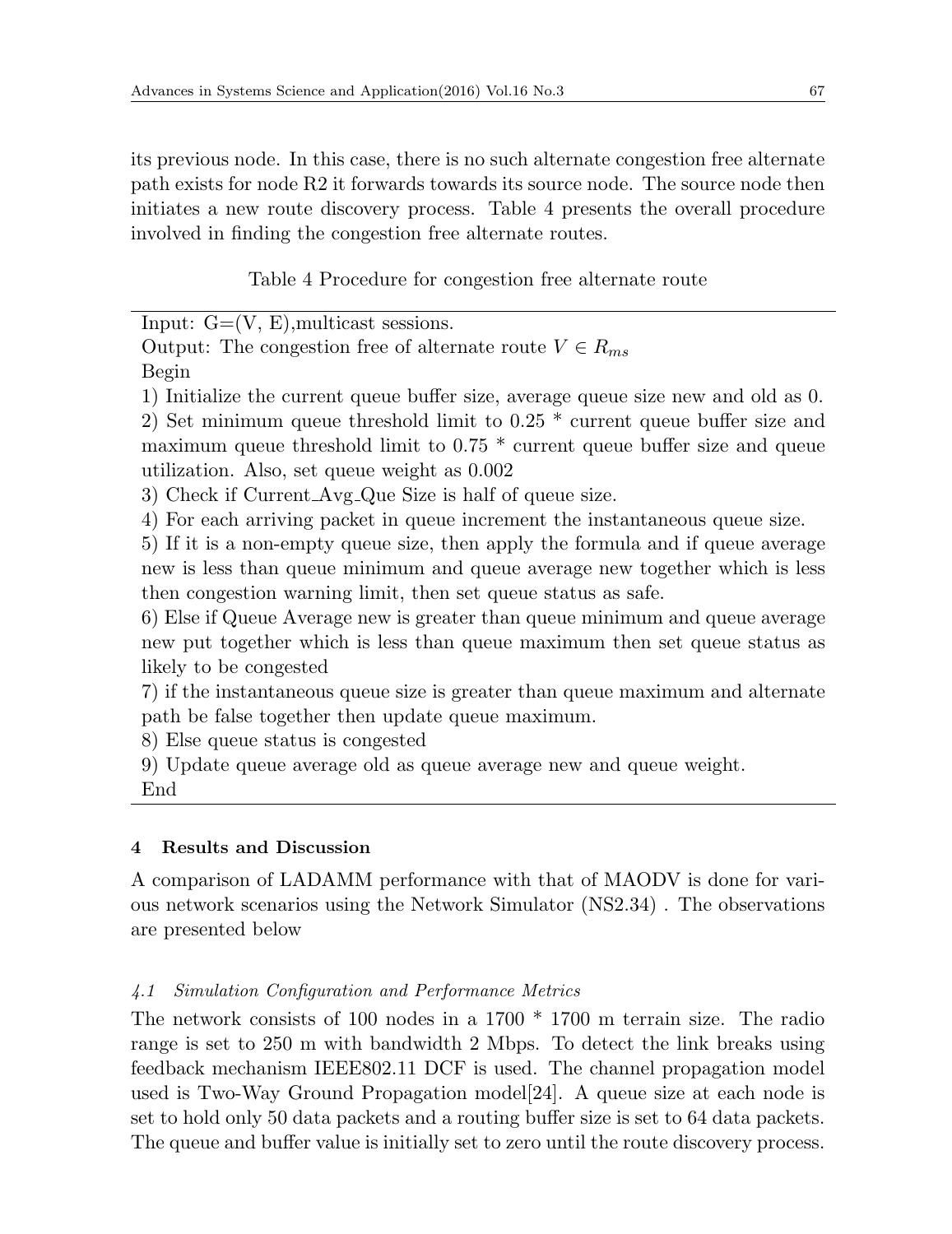its previous node. In this case, there is no such alternate congestion free alternate path exists for node R2 it forwards towards its source node. The source node then initiates a new route discovery process. Table 4 presents the overall procedure involved in finding the congestion free alternate routes.

Table 4 Procedure for congestion free alternate route

Input:  $G=(V, E)$ , multicast sessions.

Output: The congestion free of alternate route  $V \in R_{ms}$ 

Begin

1) Initialize the current queue buffer size, average queue size new and old as 0.

2) Set minimum queue threshold limit to 0.25 \* current queue buffer size and maximum queue threshold limit to 0.75 \* current queue buffer size and queue utilization. Also, set queue weight as 0.002

3) Check if Current Avg Que Size is half of queue size.

4) For each arriving packet in queue increment the instantaneous queue size.

5) If it is a non-empty queue size, then apply the formula and if queue average new is less than queue minimum and queue average new together which is less then congestion warning limit, then set queue status as safe.

6) Else if Queue Average new is greater than queue minimum and queue average new put together which is less than queue maximum then set queue status as likely to be congested

7) if the instantaneous queue size is greater than queue maximum and alternate path be false together then update queue maximum.

8) Else queue status is congested

9) Update queue average old as queue average new and queue weight.

End

# **4 Results and Discussion**

A comparison of LADAMM performance with that of MAODV is done for various network scenarios using the Network Simulator (NS2.34) . The observations are presented below

# *4.1 Simulation Configuration and Performance Metrics*

The network consists of 100 nodes in a 1700 \* 1700 m terrain size. The radio range is set to 250 m with bandwidth 2 Mbps. To detect the link breaks using feedback mechanism IEEE802.11 DCF is used. The channel propagation model used is Two-Way Ground Propagation model[24]. A queue size at each node is set to hold only 50 data packets and a routing buffer size is set to 64 data packets. The queue and buffer value is initially set to zero until the route discovery process.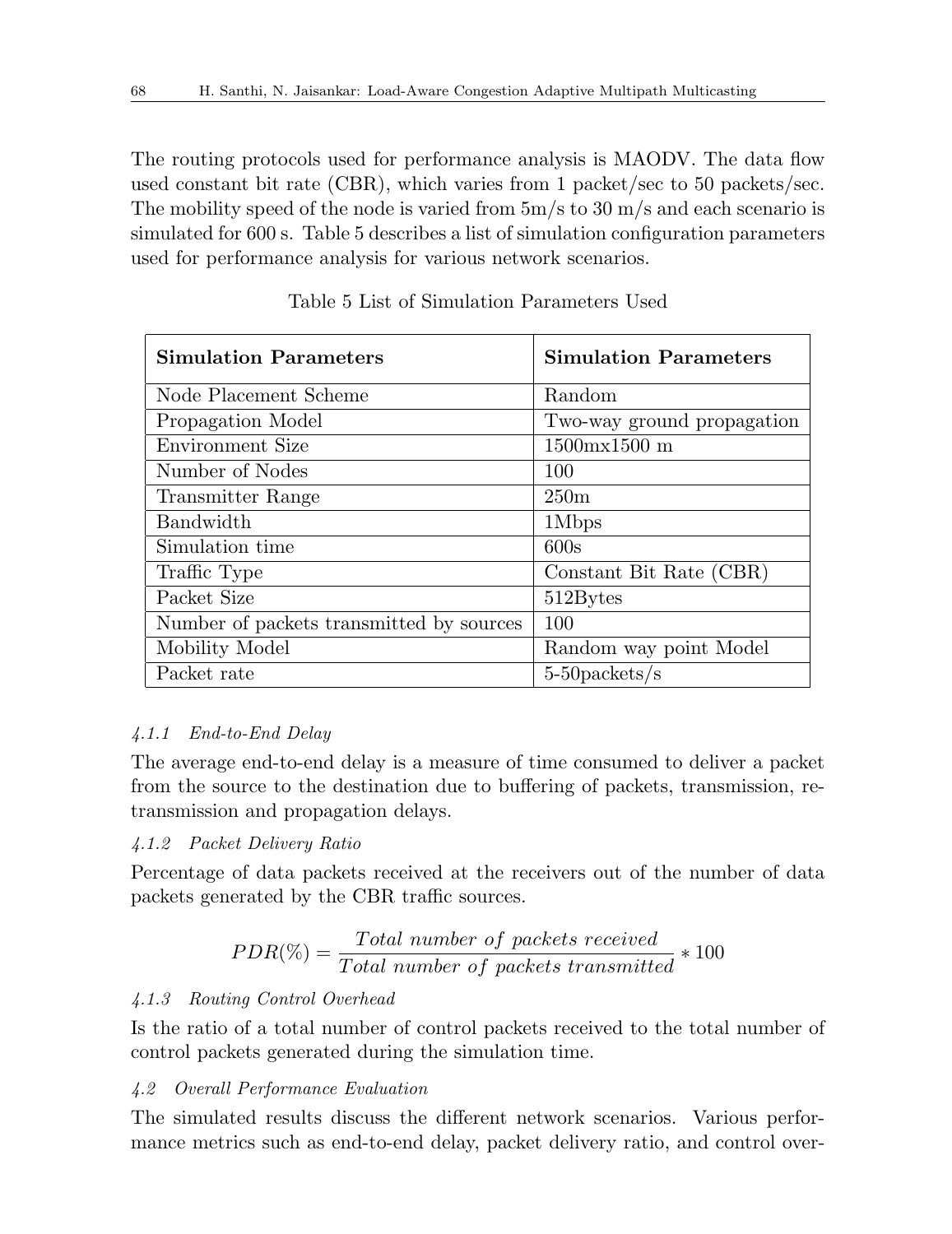The routing protocols used for performance analysis is MAODV. The data flow used constant bit rate (CBR), which varies from 1 packet/sec to 50 packets/sec. The mobility speed of the node is varied from  $5m/s$  to  $30 m/s$  and each scenario is simulated for 600 s. Table 5 describes a list of simulation configuration parameters used for performance analysis for various network scenarios.

| <b>Simulation Parameters</b>             | <b>Simulation Parameters</b>    |  |  |
|------------------------------------------|---------------------------------|--|--|
| Node Placement Scheme                    | Random                          |  |  |
| Propagation Model                        | Two-way ground propagation      |  |  |
| Environment Size                         | $1500 \text{mx} 1500 \text{ m}$ |  |  |
| Number of Nodes                          | 100                             |  |  |
| Transmitter Range                        | 250m                            |  |  |
| Bandwidth                                | 1Mbps                           |  |  |
| Simulation time                          | 600s                            |  |  |
| Traffic Type                             | Constant Bit Rate (CBR)         |  |  |
| Packet Size                              | 512Bytes                        |  |  |
| Number of packets transmitted by sources | 100                             |  |  |
| Mobility Model                           | Random way point Model          |  |  |
| Packet rate                              | $5-50$ packets/s                |  |  |

Table 5 List of Simulation Parameters Used

## *4.1.1 End-to-End Delay*

The average end-to-end delay is a measure of time consumed to deliver a packet from the source to the destination due to buffering of packets, transmission, retransmission and propagation delays.

## *4.1.2 Packet Delivery Ratio*

Percentage of data packets received at the receivers out of the number of data packets generated by the CBR traffic sources.

$$
PDR(\%) = \frac{Total\ number\ of\ packets\ received}{Total\ number\ of\ packets\ transmitted} * 100
$$

## *4.1.3 Routing Control Overhead*

Is the ratio of a total number of control packets received to the total number of control packets generated during the simulation time.

## *4.2 Overall Performance Evaluation*

The simulated results discuss the different network scenarios. Various performance metrics such as end-to-end delay, packet delivery ratio, and control over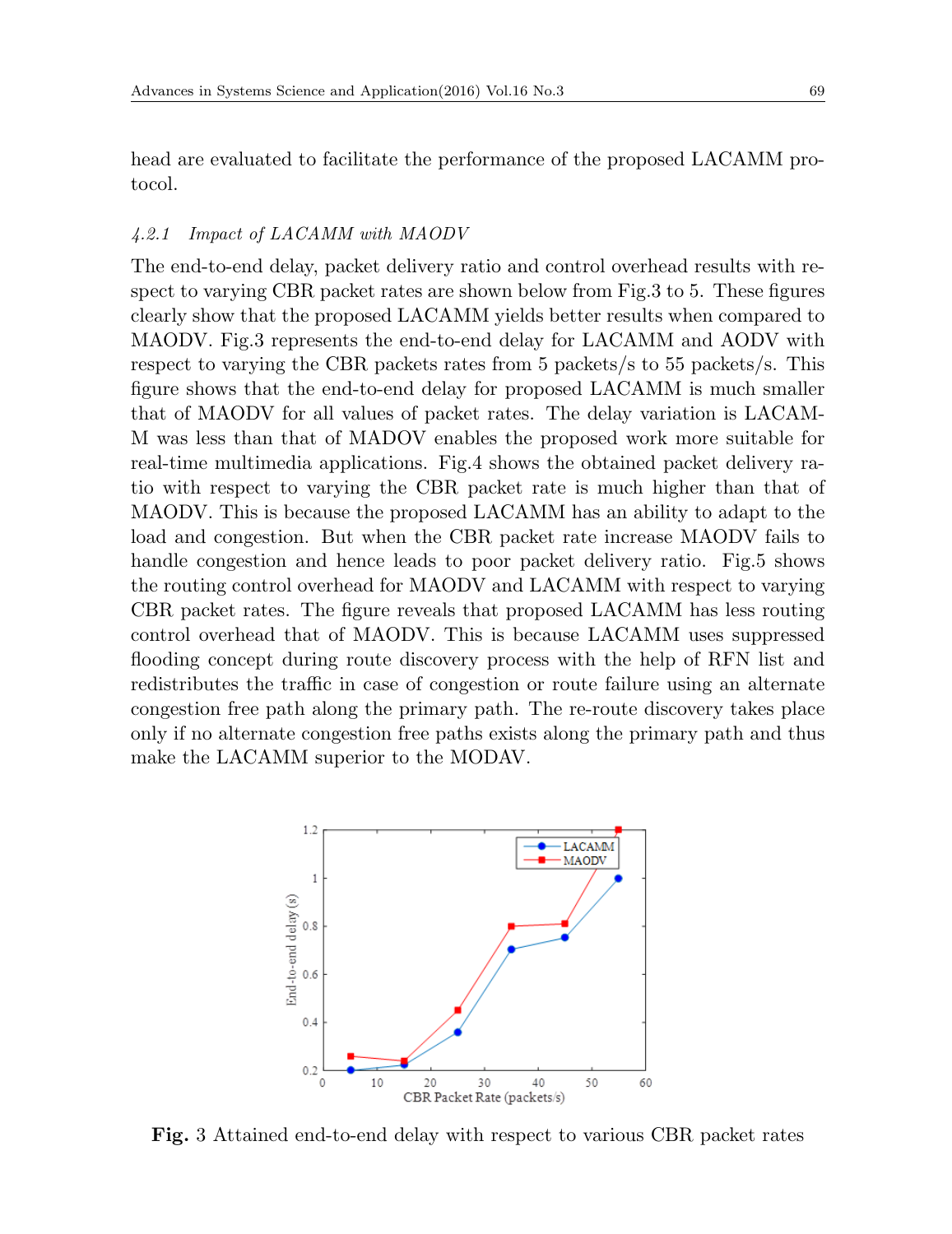head are evaluated to facilitate the performance of the proposed LACAMM protocol.

#### *4.2.1 Impact of LACAMM with MAODV*

The end-to-end delay, packet delivery ratio and control overhead results with respect to varying CBR packet rates are shown below from Fig.3 to 5. These figures clearly show that the proposed LACAMM yields better results when compared to MAODV. Fig.3 represents the end-to-end delay for LACAMM and AODV with respect to varying the CBR packets rates from 5 packets/s to 55 packets/s. This figure shows that the end-to-end delay for proposed LACAMM is much smaller that of MAODV for all values of packet rates. The delay variation is LACAM-M was less than that of MADOV enables the proposed work more suitable for real-time multimedia applications. Fig.4 shows the obtained packet delivery ratio with respect to varying the CBR packet rate is much higher than that of MAODV. This is because the proposed LACAMM has an ability to adapt to the load and congestion. But when the CBR packet rate increase MAODV fails to handle congestion and hence leads to poor packet delivery ratio. Fig.5 shows the routing control overhead for MAODV and LACAMM with respect to varying CBR packet rates. The figure reveals that proposed LACAMM has less routing control overhead that of MAODV. This is because LACAMM uses suppressed flooding concept during route discovery process with the help of RFN list and redistributes the traffic in case of congestion or route failure using an alternate congestion free path along the primary path. The re-route discovery takes place only if no alternate congestion free paths exists along the primary path and thus make the LACAMM superior to the MODAV.



**Fig.** 3 Attained end-to-end delay with respect to various CBR packet rates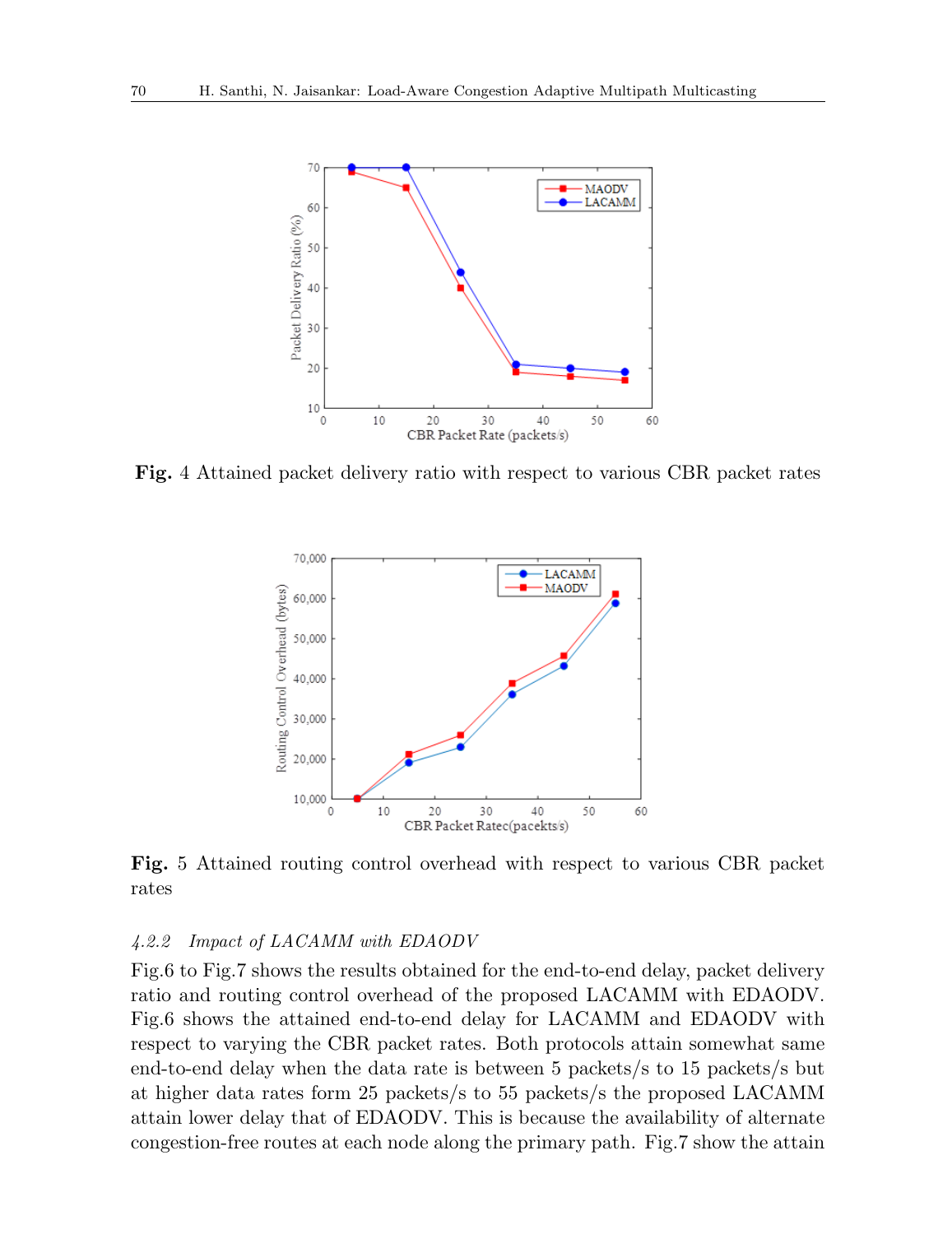

**Fig.** 4 Attained packet delivery ratio with respect to various CBR packet rates



**Fig.** 5 Attained routing control overhead with respect to various CBR packet rates

#### *4.2.2 Impact of LACAMM with EDAODV*

Fig.6 to Fig.7 shows the results obtained for the end-to-end delay, packet delivery ratio and routing control overhead of the proposed LACAMM with EDAODV. Fig.6 shows the attained end-to-end delay for LACAMM and EDAODV with respect to varying the CBR packet rates. Both protocols attain somewhat same end-to-end delay when the data rate is between 5 packets/s to 15 packets/s but at higher data rates form 25 packets/s to 55 packets/s the proposed LACAMM attain lower delay that of EDAODV. This is because the availability of alternate congestion-free routes at each node along the primary path. Fig.7 show the attain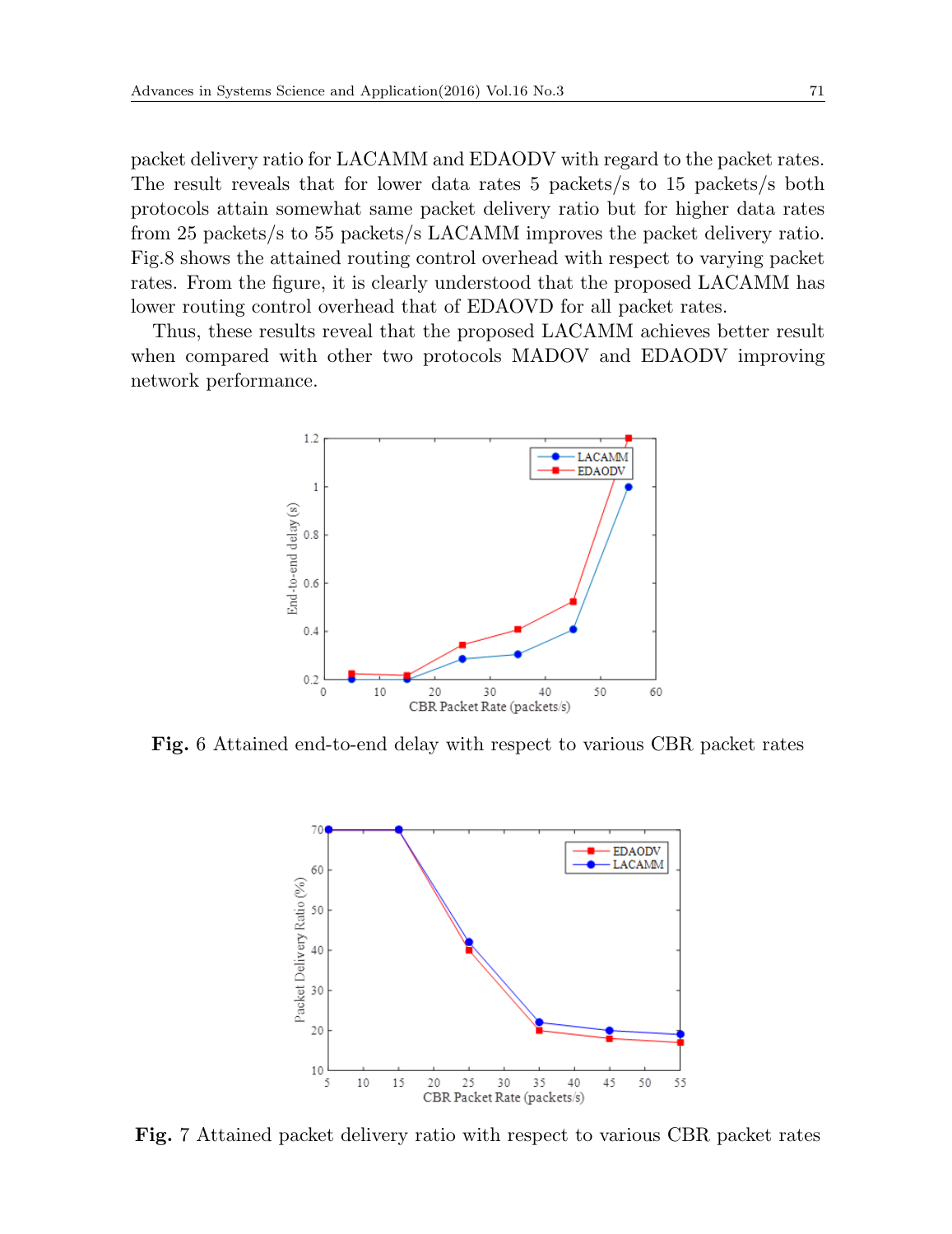packet delivery ratio for LACAMM and EDAODV with regard to the packet rates. The result reveals that for lower data rates 5 packets/s to 15 packets/s both protocols attain somewhat same packet delivery ratio but for higher data rates from 25 packets/s to 55 packets/s LACAMM improves the packet delivery ratio. Fig.8 shows the attained routing control overhead with respect to varying packet rates. From the figure, it is clearly understood that the proposed LACAMM has lower routing control overhead that of EDAOVD for all packet rates.

Thus, these results reveal that the proposed LACAMM achieves better result when compared with other two protocols MADOV and EDAODV improving network performance.



**Fig.** 6 Attained end-to-end delay with respect to various CBR packet rates



**Fig.** 7 Attained packet delivery ratio with respect to various CBR packet rates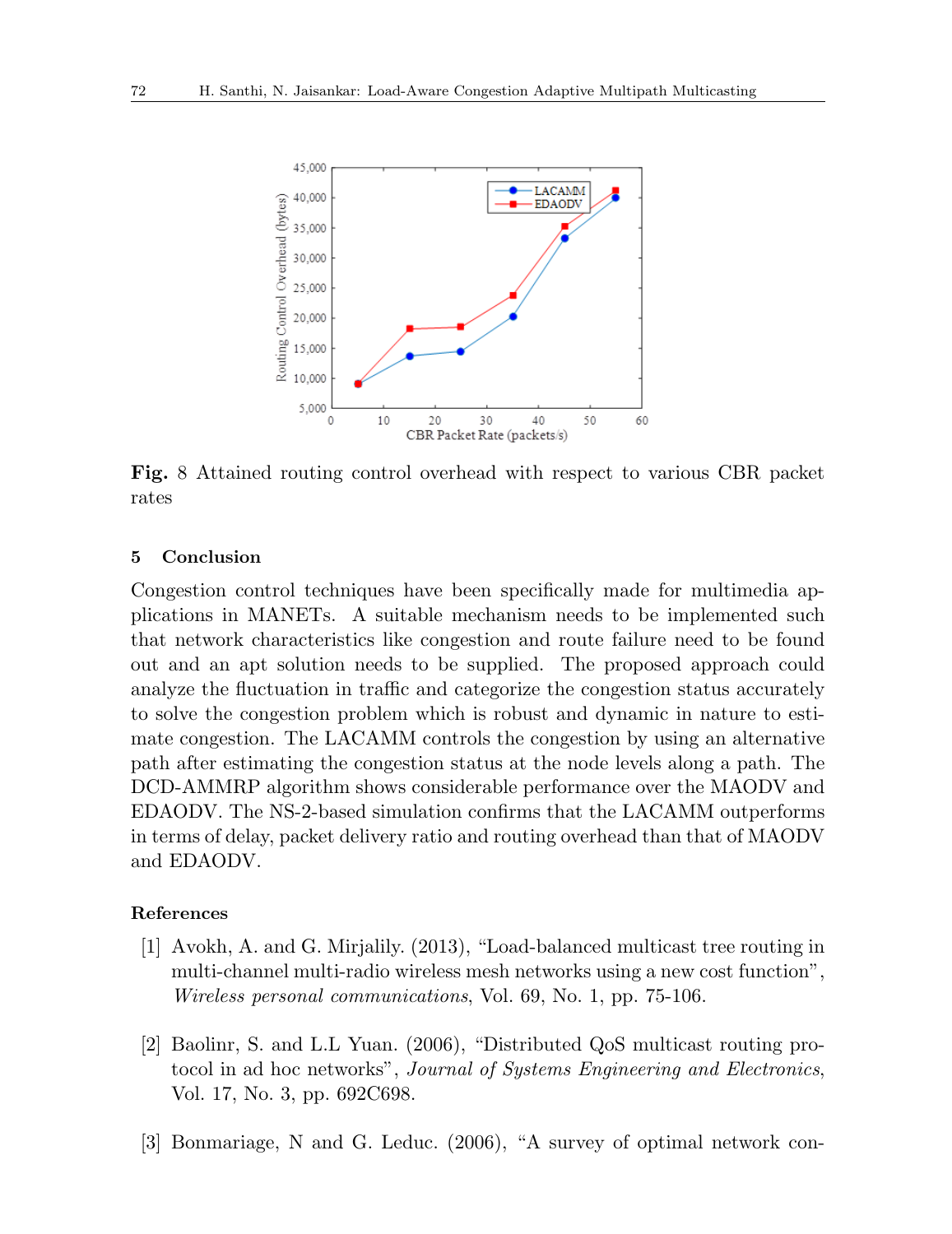

**Fig.** 8 Attained routing control overhead with respect to various CBR packet rates

#### **5 Conclusion**

Congestion control techniques have been specifically made for multimedia applications in MANETs. A suitable mechanism needs to be implemented such that network characteristics like congestion and route failure need to be found out and an apt solution needs to be supplied. The proposed approach could analyze the fluctuation in traffic and categorize the congestion status accurately to solve the congestion problem which is robust and dynamic in nature to estimate congestion. The LACAMM controls the congestion by using an alternative path after estimating the congestion status at the node levels along a path. The DCD-AMMRP algorithm shows considerable performance over the MAODV and EDAODV. The NS-2-based simulation confirms that the LACAMM outperforms in terms of delay, packet delivery ratio and routing overhead than that of MAODV and EDAODV.

#### **References**

- [1] Avokh, A. and G. Mirjalily. (2013), "Load-balanced multicast tree routing in multi-channel multi-radio wireless mesh networks using a new cost function", *Wireless personal communications*, Vol. 69, No. 1, pp. 75-106.
- [2] Baolinr, S. and L.L Yuan. (2006), "Distributed QoS multicast routing protocol in ad hoc networks", *Journal of Systems Engineering and Electronics*, Vol. 17, No. 3, pp. 692C698.
- [3] Bonmariage, N and G. Leduc. (2006), "A survey of optimal network con-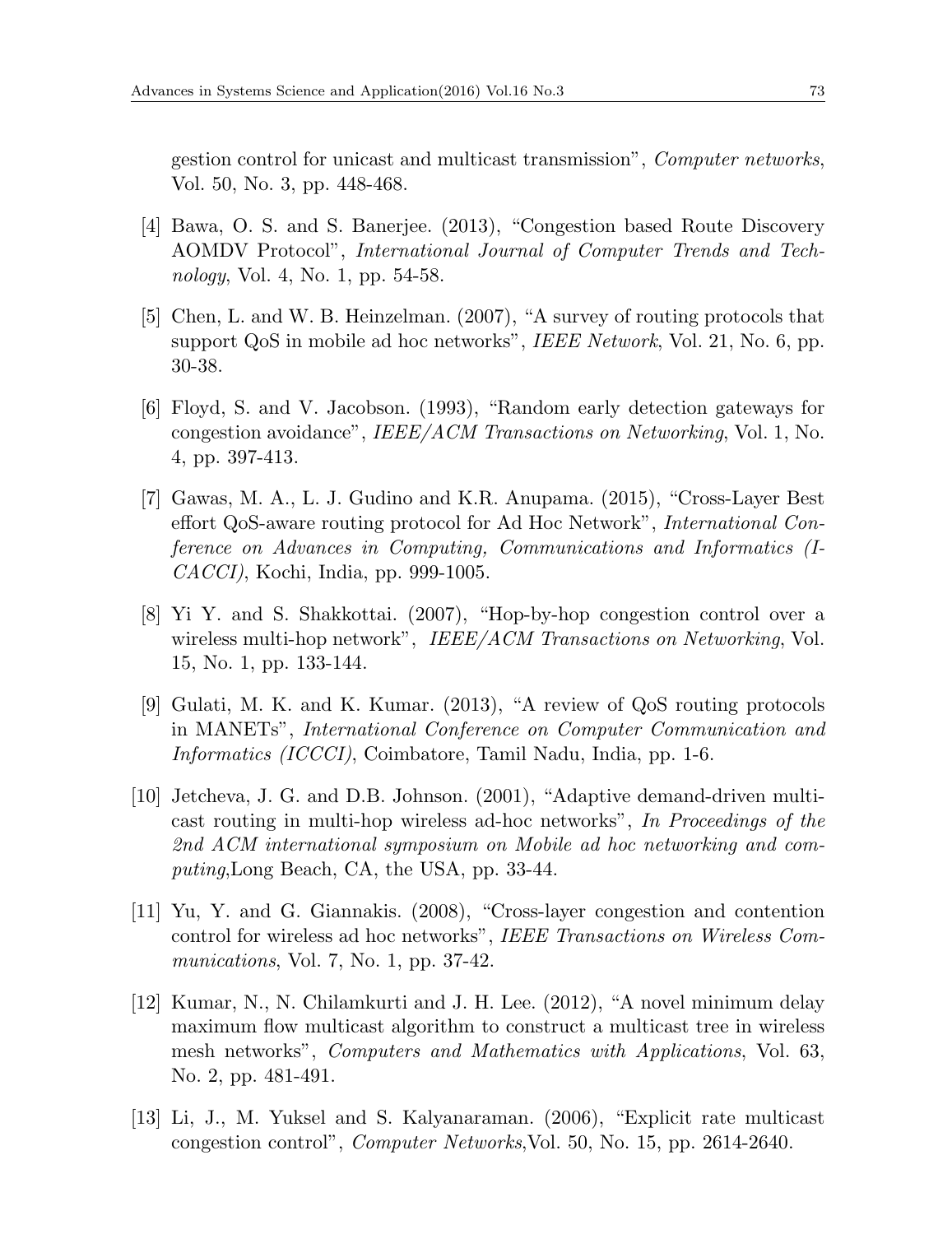gestion control for unicast and multicast transmission", *Computer networks*, Vol. 50, No. 3, pp. 448-468.

- [4] Bawa, O. S. and S. Banerjee. (2013), "Congestion based Route Discovery AOMDV Protocol", *International Journal of Computer Trends and Technology*, Vol. 4, No. 1, pp. 54-58.
- [5] Chen, L. and W. B. Heinzelman. (2007), "A survey of routing protocols that support QoS in mobile ad hoc networks", *IEEE Network*, Vol. 21, No. 6, pp. 30-38.
- [6] Floyd, S. and V. Jacobson. (1993), "Random early detection gateways for congestion avoidance", *IEEE/ACM Transactions on Networking*, Vol. 1, No. 4, pp. 397-413.
- [7] Gawas, M. A., L. J. Gudino and K.R. Anupama. (2015), "Cross-Layer Best effort QoS-aware routing protocol for Ad Hoc Network", *International Conference on Advances in Computing, Communications and Informatics (I-CACCI)*, Kochi, India, pp. 999-1005.
- [8] Yi Y. and S. Shakkottai. (2007), "Hop-by-hop congestion control over a wireless multi-hop network", *IEEE/ACM Transactions on Networking*, Vol. 15, No. 1, pp. 133-144.
- [9] Gulati, M. K. and K. Kumar. (2013), "A review of QoS routing protocols in MANETs", *International Conference on Computer Communication and Informatics (ICCCI)*, Coimbatore, Tamil Nadu, India, pp. 1-6.
- [10] Jetcheva, J. G. and D.B. Johnson. (2001), "Adaptive demand-driven multicast routing in multi-hop wireless ad-hoc networks", *In Proceedings of the 2nd ACM international symposium on Mobile ad hoc networking and computing*,Long Beach, CA, the USA, pp. 33-44.
- [11] Yu, Y. and G. Giannakis. (2008), "Cross-layer congestion and contention control for wireless ad hoc networks", *IEEE Transactions on Wireless Communications*, Vol. 7, No. 1, pp. 37-42.
- [12] Kumar, N., N. Chilamkurti and J. H. Lee. (2012), "A novel minimum delay maximum flow multicast algorithm to construct a multicast tree in wireless mesh networks", *Computers and Mathematics with Applications*, Vol. 63, No. 2, pp. 481-491.
- [13] Li, J., M. Yuksel and S. Kalyanaraman. (2006), "Explicit rate multicast congestion control", *Computer Networks*,Vol. 50, No. 15, pp. 2614-2640.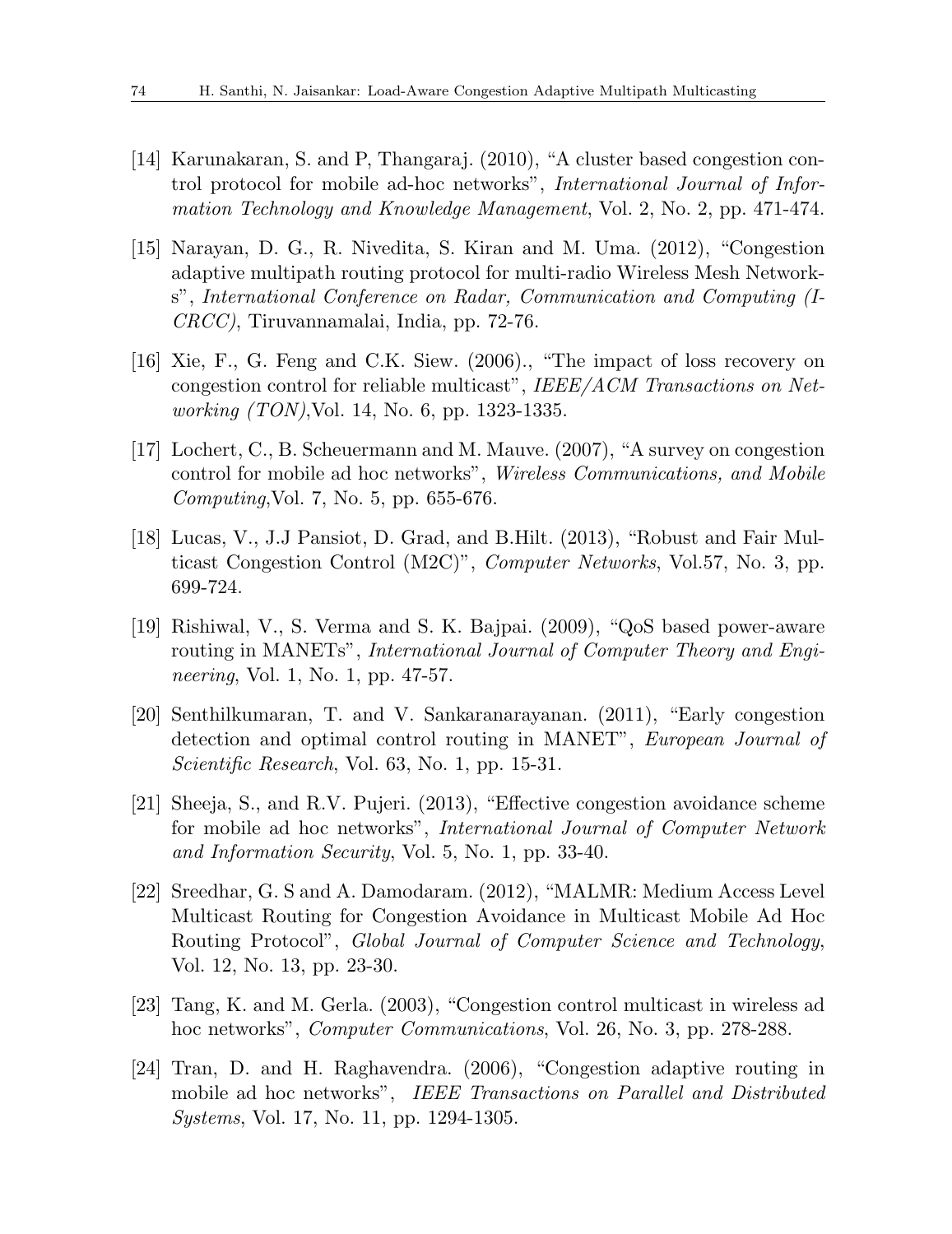- [14] Karunakaran, S. and P, Thangaraj. (2010), "A cluster based congestion control protocol for mobile ad-hoc networks", *International Journal of Information Technology and Knowledge Management*, Vol. 2, No. 2, pp. 471-474.
- [15] Narayan, D. G., R. Nivedita, S. Kiran and M. Uma. (2012), "Congestion adaptive multipath routing protocol for multi-radio Wireless Mesh Networks", *International Conference on Radar, Communication and Computing (I-CRCC)*, Tiruvannamalai, India, pp. 72-76.
- [16] Xie, F., G. Feng and C.K. Siew. (2006)., "The impact of loss recovery on congestion control for reliable multicast", *IEEE/ACM Transactions on Networking (TON)*,Vol. 14, No. 6, pp. 1323-1335.
- [17] Lochert, C., B. Scheuermann and M. Mauve. (2007), "A survey on congestion control for mobile ad hoc networks", *Wireless Communications, and Mobile Computing*,Vol. 7, No. 5, pp. 655-676.
- [18] Lucas, V., J.J Pansiot, D. Grad, and B.Hilt. (2013), "Robust and Fair Multicast Congestion Control (M2C)", *Computer Networks*, Vol.57, No. 3, pp. 699-724.
- [19] Rishiwal, V., S. Verma and S. K. Bajpai. (2009), "QoS based power-aware routing in MANETs", *International Journal of Computer Theory and Engineering*, Vol. 1, No. 1, pp. 47-57.
- [20] Senthilkumaran, T. and V. Sankaranarayanan. (2011), "Early congestion detection and optimal control routing in MANET", *European Journal of Scientific Research*, Vol. 63, No. 1, pp. 15-31.
- [21] Sheeja, S., and R.V. Pujeri. (2013), "Effective congestion avoidance scheme for mobile ad hoc networks", *International Journal of Computer Network and Information Security*, Vol. 5, No. 1, pp. 33-40.
- [22] Sreedhar, G. S and A. Damodaram. (2012), "MALMR: Medium Access Level Multicast Routing for Congestion Avoidance in Multicast Mobile Ad Hoc Routing Protocol", *Global Journal of Computer Science and Technology*, Vol. 12, No. 13, pp. 23-30.
- [23] Tang, K. and M. Gerla. (2003), "Congestion control multicast in wireless ad hoc networks", *Computer Communications*, Vol. 26, No. 3, pp. 278-288.
- [24] Tran, D. and H. Raghavendra. (2006), "Congestion adaptive routing in mobile ad hoc networks", *IEEE Transactions on Parallel and Distributed Systems*, Vol. 17, No. 11, pp. 1294-1305.